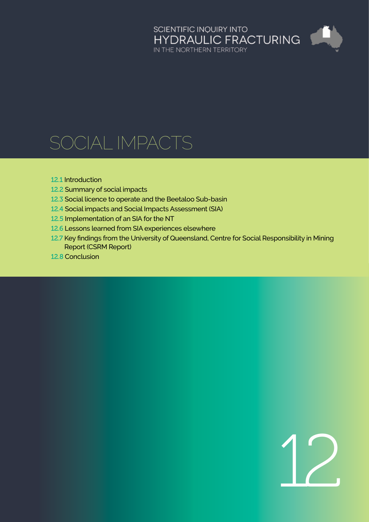## SCIENTIFIC INQUIRY INTO<br>HYDRAULIC FRACTURING<br>IN THE NORTHERN TERRITORY

### SOCIAL IMPACTS

#### 12.1 [Introduction](#page-1-0)

- 12.2 [Summary of social impacts](#page-3-0)
- 12.3 [Social licence to operate and the Beetaloo Sub-basin](#page-14-0)
- 12.4 [Social impacts and Social Impacts Assessment \(SIA\)](#page-19-0)
- 12.5 [Implementation of an SIA for the NT](#page-27-0)
- 12.6 [Lessons learned from SIA experiences elsewhere](#page-29-0)
- 12.7 [Key findings from the University of Queensland, Centre for Social Responsibility in Mining](#page-31-0)  Report (CSRM Report)
- 12.8 [Conclusion](#page-33-0)

# 12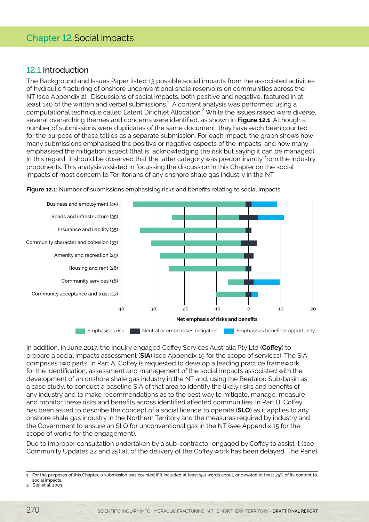#### <span id="page-1-0"></span>12.1 Introduction

The Background and Issues Paper listed 13 possible social impacts from the associated activities of hydraulic fracturing of onshore unconventional shale reservoirs on communities across the NT (see Appendix 2). Discussions of social impacts, both positive and negative, featured in at least 140 of the written and verbal submissions. $^1$  A content analysis was performed using a computational technique called Latent Dirichlet Allocation.<sup>2</sup> While the issues raised were diverse, several overarching themes and concerns were identified, as shown in **Figure 12.1**. Although a number of submissions were duplicates of the same document, they have each been counted for the purpose of these tallies as a separate submission. For each impact, the graph shows how many submissions emphasised the positive or negative aspects of the impacts, and how many emphasised the mitigation aspect (that is, acknowledging the risk but saying it can be managed). In this regard, it should be observed that the latter category was predominantly from the industry proponents. This analysis assisted in focussing the discussion in this Chapter on the social impacts of most concern to Territorians of any onshore shale gas industry in the NT.



**Figure 12.1:** Number of submissions emphasising risks and benefits relating to social impacts.

In addition, in June 2017, the Inquiry engaged Coffey Services Australia Pty Ltd (**Coffey**) to prepare a social impacts assessment (**SIA**) (see Appendix 15 for the scope of services). The SIA comprises two parts. In Part A, Coffey is requested to develop a leading practice framework for the identification, assessment and management of the social impacts associated with the development of an onshore shale gas industry in the NT and, using the Beetaloo Sub-basin as a case study, to conduct a baseline SIA of that area to identify the likely risks and benefits of any industry and to make recommendations as to the best way to mitigate, manage, measure and monitor these risks and benefits across identified affected communities. In Part B, Coffey has been asked to describe the concept of a social licence to operate (**SLO**) as it applies to any onshore shale gas industry in the Northern Territory and the measures required by industry and the Government to ensure an SLO for unconventional gas in the NT (see Appendix 15 for the scope of works for the engagement).

Due to improper consultation undertaken by a sub-contractor engaged by Coffey to assist it (see Community Updates 22 and 25) all of the delivery of the Coffey work has been delayed. The Panel

<sup>1</sup> For the purposes of this Chapter, a submission was counted if it included at least 150 words about, or devoted at least 25% of its content to, social impacts.

<sup>2</sup> Blei et al. 2003.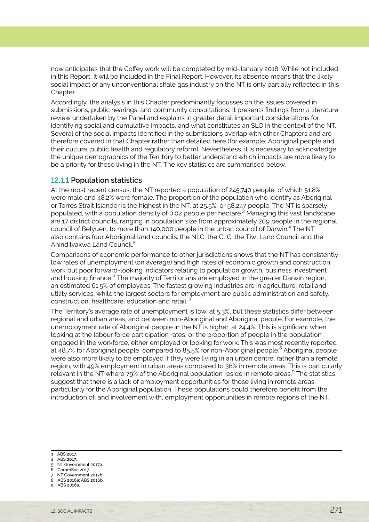now anticipates that the Coffey work will be completed by mid-January 2018. While not included in this Report, it will be included in the Final Report. However, its absence means that the likely social impact of any unconventional shale gas industry on the NT is only partially reflected in this Chapter.

Accordingly, the analysis in this Chapter predominantly focusses on the issues covered in submissions, public hearings, and community consultations. It presents findings from a literature review undertaken by the Panel and explains in greater detail important considerations for identifying social and cumulative impacts, and what constitutes an SLO in the context of the NT. Several of the social impacts identified in the submissions overlap with other Chapters and are therefore covered in that Chapter rather than detailed here (for example, Aboriginal people and their culture, public health and regulatory reform). Nevertheless, it is necessary to acknowledge the unique demographics of the Territory to better understand which impacts are more likely to be a priority for those living in the NT. The key statistics are summarised below.

#### 12.1.1 **Population statistics**

At the most recent census, the NT reported a population of 245,740 people, of which 51.8% were male and 48.2% were female. The proportion of the population who identify as Aboriginal or Torres Strait Islander is the highest in the NT, at 25.5%, or 58,247 people. The NT is sparsely populated, with a population density of 0.02 people per hectare.<sup>3</sup> Managing this vast landscape are 17 district councils, ranging in population size from approximately 209 people in the regional council of Belyuen, to more than 140,000 people in the urban council of Darwin.<sup>4</sup> The NT also contains four Aboriginal land councils: the NLC, the CLC, the Tiwi Land Council and the Anindilyakwa Land Council.<sup>5</sup>

Comparisons of economic performance to other jurisdictions shows that the NT has consistently low rates of unemployment (on average) and high rates of economic growth and construction work but poor forward-looking indicators relating to population growth, business investment and housing finance. $^6$  The majority of Territorians are employed in the greater Darwin region, an estimated 61.5% of employees. The fastest growing industries are in agriculture, retail and utility services, while the largest sectors for employment are public administration and safety, construction, healthcare, education and retail.

The Territory's average rate of unemployment is low, at 5.3%, but these statistics differ between regional and urban areas, and between non-Aboriginal and Aboriginal people. For example, the unemployment rate of Aboriginal people in the NT is higher, at 24.4%. This is significant when looking at the labour force participation rates, or the proportion of people in the population engaged in the workforce, either employed or looking for work. This was most recently reported at 48.7% for Aboriginal people, compared to 85.5% for non-Aboriginal people.<sup>8</sup> Aboriginal people were also more likely to be employed if they were living in an urban centre, rather than a remote region, with 49% employment in urban areas compared to 36% in remote areas. This is particularly relevant in the NT where 79% of the Aboriginal population reside in remote areas.<sup>9</sup> The statistics suggest that there is a lack of employment opportunities for those living in remote areas, particularly for the Aboriginal population. These populations could therefore benefit from the introduction of, and involvement with, employment opportunities in remote regions of the NT.

- 3 ABS 2017.
- 4 ABS 2017.
- 5 NT Government 2017a. 6 CommSec 2017.
- 7 NT Government 2017b.
- 8 ABS 2016a; ABS 2016b.
- 9 ABS 2016a.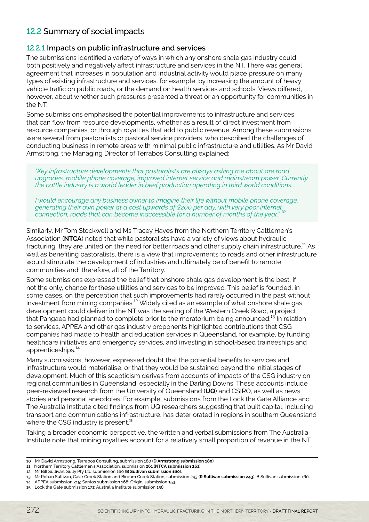#### <span id="page-3-0"></span>12.2 Summary of social impacts

#### 12.2.1 **Impacts on public infrastructure and services**

The submissions identified a variety of ways in which any onshore shale gas industry could both positively and negatively affect infrastructure and services in the NT. There was general agreement that increases in population and industrial activity would place pressure on many types of existing infrastructure and services, for example, by increasing the amount of heavy vehicle traffic on public roads, or the demand on health services and schools. Views differed, however, about whether such pressures presented a threat or an opportunity for communities in the NT.

Some submissions emphasised the potential improvements to infrastructure and services that can flow from resource developments, whether as a result of direct investment from resource companies, or through royalties that add to public revenue. Among these submissions were several from pastoralists or pastoral service providers, who described the challenges of conducting business in remote areas with minimal public infrastructure and utilities. As Mr David Armstrong, the Managing Director of Terrabos Consulting explained:

*"Key infrastructure developments that pastoralists are always asking me about are road upgrades, mobile phone coverage, improved internet service and mainstream power. Currently the cattle industry is a world leader in beef production operating in third world conditions.* 

*I would encourage any business owner to imagine their life without mobile phone coverage, generating their own power at a cost upwards of \$200 per day, with very poor internet connection, roads that can become inaccessible for a number of months of the year." 10*

Similarly, Mr Tom Stockwell and Ms Tracey Hayes from the Northern Territory Cattlemen's Association (**NTCA**) noted that while pastoralists have a variety of views about hydraulic fracturing, they are united on the need for better roads and other supply chain infrastructure.<sup>11</sup> As well as benefiting pastoralists, there is a view that improvements to roads and other infrastructure would stimulate the development of industries and ultimately be of benefit to remote communities and, therefore, all of the Territory.

Some submissions expressed the belief that onshore shale gas development is the best, if not the only, chance for these utilities and services to be improved. This belief is founded, in some cases, on the perception that such improvements had rarely occurred in the past without investment from mining companies.<sup>12</sup> Widely cited as an example of what onshore shale gas development could deliver in the NT was the sealing of the Western Creek Road, a project that Pangaea had planned to complete prior to the moratorium being announced.<sup>13</sup> In relation to services, APPEA and other gas industry proponents highlighted contributions that CSG companies had made to health and education services in Queensland, for example, by funding healthcare initiatives and emergency services, and investing in school-based traineeships and apprenticeships.<sup>14</sup>

Many submissions, however, expressed doubt that the potential benefits to services and infrastructure would materialise, or that they would be sustained beyond the initial stages of development. Much of this scepticism derives from accounts of impacts of the CSG industry on regional communities in Queensland, especially in the Darling Downs. These accounts include peer-reviewed research from the University of Queensland (**UQ**) and CSIRO, as well as news stories and personal anecdotes. For example, submissions from the Lock the Gate Alliance and The Australia Institute cited findings from UQ researchers suggesting that built capital, including transport and communications infrastructure, has deteriorated in regions in southern Queensland where the CSG industry is present.<sup>15</sup>

Taking a broader economic perspective, the written and verbal submissions from The Australia Institute note that mining royalties account for a relatively small proportion of revenue in the NT,

- 11 Northern Territory Cattlemen's Association, submission 261 (**NTCA submission 261**).
- 12 Mr Bill Sullivan, Sully Pty Ltd submission 160 (**B Sullivan submission 160**).

- 14 APPEA submission 215; Santos submission 168; Origin, submission 153.
- 15 Lock the Gate submission 171; Australia Institute submission 158.

<sup>10</sup> Mr David Armstrong, Terrabos Consulting, submission 180 (**D Armstrong submission 180**).

<sup>13</sup> Mr Rohan Sullivan, Cave Creek Station and Birdum Creek Station, submission 243 (**R Sullivan submission 243**); B Sullivan submission 160.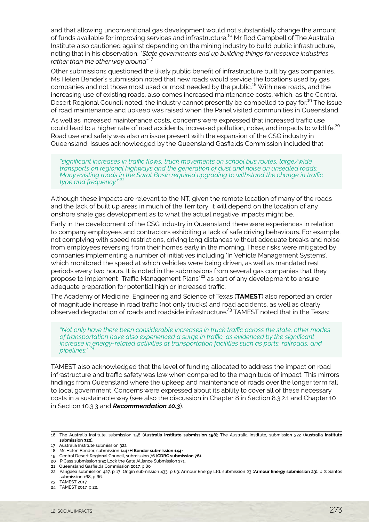and that allowing unconventional gas development would not substantially change the amount of funds available for improving services and infrastructure.16 Mr Rod Campbell of The Australia Institute also cautioned against depending on the mining industry to build public infrastructure, noting that in his observation, *"State governments end up building things for resource industries rather than the other way around".*17

Other submissions questioned the likely public benefit of infrastructure built by gas companies. Ms Helen Bender's submission noted that new roads would service the locations used by gas companies and not those most used or most needed by the public.<sup>18</sup> With new roads, and the increasing use of existing roads, also comes increased maintenance costs, which, as the Central Desert Regional Council noted, the industry cannot presently be compelled to pay for.<sup>19</sup> The issue of road maintenance and upkeep was raised when the Panel visited communities in Queensland.

As well as increased maintenance costs, concerns were expressed that increased traffic use could lead to a higher rate of road accidents, increased pollution, noise, and impacts to wildlife.<sup>20</sup> Road use and safety was also an issue present with the expansion of the CSG industry in Queensland. Issues acknowledged by the Queensland Gasfields Commission included that:

*"significant increases in traffic flows, truck movements on school bus routes, large/wide transports on regional highways and the generation of dust and noise on unsealed roads. Many existing roads in the Surat Basin required upgrading to withstand the change in traffic*  type and frequency."

Although these impacts are relevant to the NT, given the remote location of many of the roads and the lack of built up areas in much of the Territory, it will depend on the location of any onshore shale gas development as to what the actual negative impacts might be.

Early in the development of the CSG industry in Queensland there were experiences in relation to company employees and contractors exhibiting a lack of safe driving behaviours. For example, not complying with speed restrictions, driving long distances without adequate breaks and noise from employees reversing from their homes early in the morning. These risks were mitigated by companies implementing a number of initiatives including 'In Vehicle Management Systems', which monitored the speed at which vehicles were being driven, as well as mandated rest periods every two hours. It is noted in the submissions from several gas companies that they propose to implement "Traffic Management Plans"22 as part of any development to ensure adequate preparation for potential high or increased traffic.

The Academy of Medicine, Engineering and Science of Texas (**TAMEST**) also reported an order of magnitude increase in road traffic (not only trucks) and road accidents, as well as clearly observed degradation of roads and roadside infrastructure.23 TAMEST noted that in the Texas:

*"Not only have there been considerable increases in truck traffic across the state, other modes of transportation have also experienced a surge in traffic, as evidenced by the significant increase in energy-related activities at transportation facilities such as ports, railroads, and pipelines." 24*

TAMEST also acknowledged that the level of funding allocated to address the impact on road infrastructure and traffic safety was low when compared to the magnitude of impact. This mirrors findings from Queensland where the upkeep and maintenance of roads over the longer term fall to local government. Concerns were expressed about its ability to cover all of these necessary costs in a sustainable way (see also the discussion in Chapter 8 in Section 8.3.2.1 and Chapter 10 in Section 10.3.3 and *Recommendation 10.3*).

- 19 Central Desert Regional Council, submission 76 (**CDRC submission 76**).
- 20 P Cass submission 192; Lock the Gate Alliance Submission 171.. 21 Queensland Gasfields Commission 2017, p 80.

<sup>16</sup> The Australia Institute, submission 158 (**Australia Institute submission 158**); The Australia Institute, submission 322 (**Australia Institute submission 322**).

<sup>17</sup> Australia Institute submission 322.

<sup>18</sup> Ms Helen Bender, submission 144 (**H Bender submission 144**).

<sup>22</sup> Pangaea submission 427, p 17; Origin submission 433, p 63; Armour Energy Ltd, submission 23 (**Armour Energy submission 23**), p 2; Santos submission 168, p 66.

<sup>23</sup> TAMEST 2017.

<sup>24</sup> TAMEST 2017, p 22.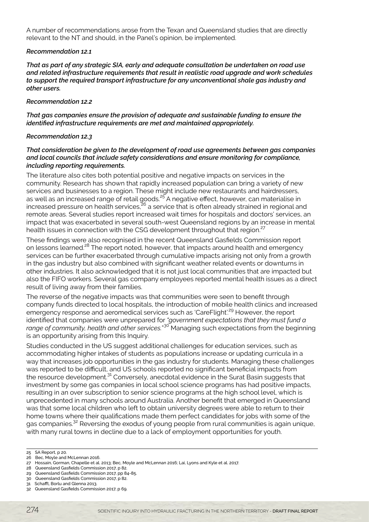A number of recommendations arose from the Texan and Queensland studies that are directly relevant to the NT and should, in the Panel's opinion, be implemented.

#### *Recommendation 12.1*

*That as part of any strategic SIA, early and adequate consultation be undertaken on road use and related infrastructure requirements that result in realistic road upgrade and work schedules to support the required transport infrastructure for any unconventional shale gas industry and other users.*

#### *Recommendation 12.2*

*That gas companies ensure the provision of adequate and sustainable funding to ensure the identified infrastructure requirements are met and maintained appropriately.*

#### *Recommendation 12.3*

#### *That consideration be given to the development of road use agreements between gas companies and local councils that include safety considerations and ensure monitoring for compliance, including reporting requirements.*

The literature also cites both potential positive and negative impacts on services in the community. Research has shown that rapidly increased population can bring a variety of new services and businesses to a region. These might include new restaurants and hairdressers, as well as an increased range of retail goods.<sup>25</sup> A negative effect, however, can materialise in increased pressure on health services, <sup>26</sup> a service that is often already strained in regional and remote areas. Several studies report increased wait times for hospitals and doctors' services, an impact that was exacerbated in several south-west Queensland regions by an increase in mental health issues in connection with the CSG development throughout that region.<sup>27</sup>

These findings were also recognised in the recent Queensland Gasfields Commission report on lessons learned.<sup>28</sup> The report noted, however, that impacts around health and emergency services can be further exacerbated through cumulative impacts arising not only from a growth in the gas industry but also combined with significant weather related events or downturns in other industries. It also acknowledged that it is not just local communities that are impacted but also the FIFO workers. Several gas company employees reported mental health issues as a direct result of living away from their families.

The reverse of the negative impacts was that communities were seen to benefit through company funds directed to local hospitals, the introduction of mobile health clinics and increased emergency response and aeromedical services such as 'CareFlight'.29 However, the report identified that companies were unprepared for *"government expectations that they must fund a range of community, health and other services.*" <sup>30</sup> Managing such expectations from the beginning is an opportunity arising from this Inquiry.

Studies conducted in the US suggest additional challenges for education services, such as accommodating higher intakes of students as populations increase or updating curricula in a way that increases job opportunities in the gas industry for students. Managing these challenges was reported to be difficult, and US schools reported no significant beneficial impacts from the resource development.<sup>31</sup> Conversely, anecdotal evidence in the Surat Basin suggests that investment by some gas companies in local school science programs has had positive impacts, resulting in an over subscription to senior science programs at the high school level, which is unprecedented in many schools around Australia. Another benefit that emerged in Queensland was that some local children who left to obtain university degrees were able to return to their home towns where their qualifications made them perfect candidates for jobs with some of the gas companies.32 Reversing the exodus of young people from rural communities is again unique, with many rural towns in decline due to a lack of employment opportunities for youth.

<sup>25</sup> SA Report, p 20.

<sup>26</sup> Bec, Moyle and McLennan 2016.

<sup>27</sup> Hossain, Gorman, Chapelle et al. 2013; Bec, Moyle and McLennan 2016; Lai, Lyons and Kyle et al. 2017.

<sup>28</sup> Queensland Gasfields Commission 2017, p 82.

<sup>29</sup> Queensland Gasfields Commission 2017, pp 84-85. 30 Queensland Gasfields Commission 2017, p 82.

<sup>31</sup> Schafft, Borlu and Glenna 2013.

<sup>32</sup> Queensland Gasfields Commission 2017, p 69.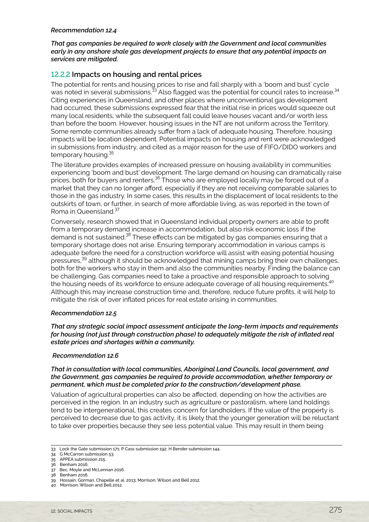#### *Recommendation 12.4*

*That gas companies be required to work closely with the Government and local communities early in any onshore shale gas development projects to ensure that any potential impacts on services are mitigated.*

#### 12.2.2 **Impacts on housing and rental prices**

The potential for rents and housing prices to rise and fall sharply with a 'boom and bust' cycle was noted in several submissions.<sup>33</sup> Also flagged was the potential for council rates to increase.<sup>34</sup> Citing experiences in Queensland, and other places where unconventional gas development had occurred, these submissions expressed fear that the initial rise in prices would squeeze out many local residents, while the subsequent fall could leave houses vacant and/or worth less than before the boom. However, housing issues in the NT are not uniform across the Territory. Some remote communities already suffer from a lack of adequate housing. Therefore, housing impacts will be location dependent. Potential impacts on housing and rent were acknowledged in submissions from industry, and cited as a major reason for the use of FIFO/DIDO workers and temporary housing.<sup>35</sup>

The literature provides examples of increased pressure on housing availability in communities experiencing 'boom and bust' development. The large demand on housing can dramatically raise prices, both for buyers and renters.<sup>36</sup> Those who are employed locally may be forced out of a market that they can no longer afford, especially if they are not receiving comparable salaries to those in the gas industry. In some cases, this results in the displacement of local residents to the outskirts of town, or further, in search of more affordable living, as was reported in the town of Roma in Queensland.<sup>37</sup>

Conversely, research showed that in Queensland individual property owners are able to profit from a temporary demand increase in accommodation, but also risk economic loss if the demand is not sustained.<sup>38</sup> These effects can be mitigated by gas companies ensuring that a temporary shortage does not arise. Ensuring temporary accommodation in various camps is adequate before the need for a construction workforce will assist with easing potential housing pressures,39 although it should be acknowledged that mining camps bring their own challenges, both for the workers who stay in them and also the communities nearby. Finding the balance can be challenging. Gas companies need to take a proactive and responsible approach to solving the housing needs of its workforce to ensure adequate coverage of all housing requirements.<sup>40</sup> Although this may increase construction time and, therefore, reduce future profits, it will help to mitigate the risk of over inflated prices for real estate arising in communities.

#### *Recommendation 12.5*

*That any strategic social impact assessment anticipate the long-term impacts and requirements for housing (not just through construction phase) to adequately mitigate the risk of inflated real estate prices and shortages within a community.*

#### *Recommendation 12.6*

#### *That in consultation with local communities, Aboriginal Land Councils, local government, and the Government, gas companies be required to provide accommodation, whether temporary or permanent, which must be completed prior to the construction/development phase.*

Valuation of agricultural properties can also be affected, depending on how the activities are perceived in the region. In an industry such as agriculture or pastoralism, where land holdings tend to be intergenerational, this creates concern for landholders. If the value of the property is perceived to decrease due to gas activity, it is likely that the younger generation will be reluctant to take over properties because they see less potential value. This may result in them being

<sup>33</sup> Lock the Gate submission 171; P Cass submission 192; H Bender submission 144.

<sup>34</sup> G McCarron submission 53.

<sup>35</sup> APPEA submission 215.

<sup>36</sup> Benham 2016.

<sup>37</sup> Bec, Moyle and McLennan 2016. 38 Benham 2016.

<sup>39</sup> Hossain, Gorman, Chapelle et al. 2013; Morrison, Wilson and Bell 2012.

<sup>40</sup> Morrison, Wilson and Bell 2012.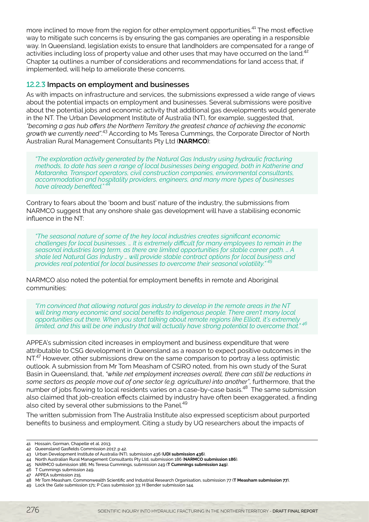more inclined to move from the region for other employment opportunities.<sup>41</sup> The most effective way to mitigate such concerns is by ensuring the gas companies are operating in a responsible way. In Queensland, legislation exists to ensure that landholders are compensated for a range of activities including loss of property value and other uses that may have occurred on the land.<sup>42</sup> Chapter 14 outlines a number of considerations and recommendations for land access that, if implemented, will help to ameliorate these concerns.

#### 12.2.3 **Impacts on employment and businesses**

As with impacts on infrastructure and services, the submissions expressed a wide range of views about the potential impacts on employment and businesses. Several submissions were positive about the potential jobs and economic activity that additional gas developments would generate in the NT. The Urban Development Institute of Australia (NT), for example, suggested that, *"becoming a gas hub offers the Northern Territory the greatest chance of achieving the economic growth we currently need"*. <sup>43</sup> According to Ms Teresa Cummings, the Corporate Director of North Australian Rural Management Consultants Pty Ltd (**NARMCO**):

*"The exploration activity generated by the Natural Gas Industry using hydraulic fracturing methods, to date has seen a range of local businesses being engaged, both in Katherine and Mataranka. Transport operators, civil construction companies, environmental consultants, accommodation and hospitality providers, engineers, and many more types of businesses have already benefited." <sup>44</sup>*

Contrary to fears about the 'boom and bust' nature of the industry, the submissions from NARMCO suggest that any onshore shale gas development will have a stabilising economic influence in the NT:

*"The seasonal nature of some of the key local industries creates significant economic challenges for local businesses. … It is extremely difficult for many employees to remain in the seasonal industries long term, as there are limited opportunities for stable career path. … A shale led Natural Gas Industry … will provide stable contract options for local business and provides real potential for local businesses to overcome their seasonal volatility." 45*

NARMCO also noted the potential for employment benefits in remote and Aboriginal communities:

*"I'm convinced that allowing natural gas industry to develop in the remote areas in the NT will bring many economic and social benefits to indigenous people. There aren't many local opportunities out there. When you start talking about remote regions like Elliott, it's extremely limited, and this will be one industry that will actually have strong potential to overcome that." 46*

APPEA's submission cited increases in employment and business expenditure that were attributable to CSG development in Queensland as a reason to expect positive outcomes in the NT.<sup>47</sup> However, other submissions drew on the same comparison to portray a less optimistic outlook. A submission from Mr Tom Measham of CSIRO noted, from his own study of the Surat Basin in Queensland, that, *"while net employment increases overall, there can still be reductions in some sectors as people move out of one sector (e.g. agriculture) into another"*, furthermore, that the number of jobs flowing to local residents varies on a case-by-case basis.<sup>48</sup> The same submission also claimed that job-creation effects claimed by industry have often been exaggerated, a finding also cited by several other submissions to the Panel.<sup>49</sup>

The written submission from The Australia Institute also expressed scepticism about purported benefits to business and employment. Citing a study by UQ researchers about the impacts of

<sup>41</sup> Hossain, Gorman, Chapelle et al. 2013.

<sup>42</sup> Queensland Gasfields Commission 2017, p 42.

<sup>43</sup> Urban Development Institute of Australia (NT), submission 436 (**UDI submission 436**).

<sup>44</sup> North Australian Rural Management Consultants Pty Ltd, submission 186 (**NARMCO submission 186**).

<sup>45</sup> NARMCO submission 186; Ms Teresa Cummings, submission 249 (**T Cummings submission 249**).

<sup>46</sup> T Cummings submission 249.

<sup>47</sup> APPEA submission 215.

<sup>48</sup> Mr Tom Measham, Commonwealth Scientific and Industrial Research Organisation, submission 77 (**T Measham submission 77**).

<sup>49</sup> Lock the Gate submission 171; P Cass submission 33; H Bender submission 144.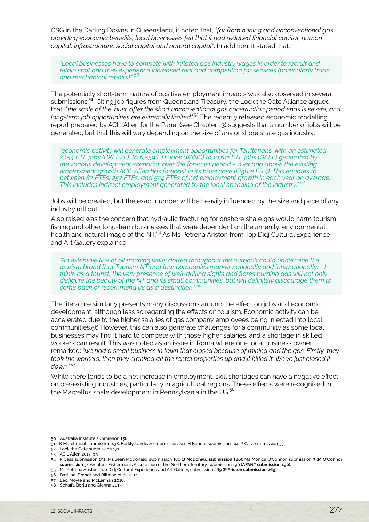CSG in the Darling Downs in Queensland, it noted that, *"far from mining and unconventional gas providing economic benefits, local businesses felt that it had reduced financial capital, human capital, infrastructure, social capital and natural capital"*. In addition, it stated that:

*"Local businesses have to compete with inflated gas industry wages in order to recruit and retain staff and they experience increased rent and competition for services (particularly trade*  and mechanical repairs)."<sup>5</sup>

The potentially short-term nature of positive employment impacts was also observed in several submissions.<sup>51</sup> Citing job figures from Queensland Treasury, the Lock the Gate Alliance argued that, *"the scale of the 'bust' after the short unconventional gas construction period ends is severe, and long-term job opportunities are extremely limited"*. 52 The recently released economic modelling report prepared by ACIL Allen for the Panel (see Chapter 13) suggests that a number of jobs will be generated, but that this will vary depending on the size of any onshore shale gas industry:

*"economic activity will generate employment opportunities for Territorians, with an estimated 2,154 FTE jobs (BREEZE), to 6,559 FTE jobs (WIND) to 13,611 FTE jobs (GALE) generated by the various development scenarios over the forecast period – over and above the existing employment growth ACIL Allen has forecast in its base case (Figure ES 4). This equates to between 82 FTEs, 252 FTEs, and 524 FTEs of net employment growth in each year on average. This includes indirect employment generated by the local spending of the industry." 53*

Jobs will be created, but the exact number will be heavily influenced by the size and pace of any industry roll out.

Also raised was the concern that hydraulic fracturing for onshore shale gas would harm tourism, fishing and other long-term businesses that were dependent on the amenity, environmental health and natural image of the NT.<sup>54</sup> As Ms Petrena Ariston from Top Didi Cultural Experience and Art Gallery explained:

*"An extensive line of oil fracking wells dotted throughout the outback could undermine the tourism brand that Tourism NT and tour companies market nationally and internationally. … I think, as a tourist, the very presence of well-drilling sights and flares burning gas will not only disfigure the beauty of the NT and its small communities, but will definitely discourage them to come back or recommend us as a destination." 55*

The literature similarly presents many discussions around the effect on jobs and economic development, although less so regarding the effects on tourism. Economic activity can be accelerated due to the higher salaries of gas company employees being injected into local communities.56 However, this can also generate challenges for a community as some local businesses may find it hard to compete with those higher salaries, and a shortage in skilled workers can result. This was noted as an issue in Roma where one local business owner remarked: *"we had a small business in town that closed because of mining and the gas. Firstly, they took the workers, then they cranked all the rental properties up and it killed it. We've just closed it down." 57* 

While there tends to be a net increase in employment, skill shortages can have a negative effect on pre-existing industries, particularly in agricultural regions. These effects were recognised in the Marcellus shale development in Pennsylvania in the US.<sup>58</sup>

<sup>50</sup> Australia Institute submission 158.

<sup>51</sup> K Marchment submission 438; Barkly Landcare submission 241; H Bender submission 144; P Cass submission 33.

<sup>52</sup> Lock the Gate submission 171.

<sup>53</sup> ACIL Allen 2017, p vi.

<sup>54</sup> P Cass submission 192; Ms Jean McDonald, submission 186 (**J McDonald submission 186**); Ms Monica O'Connor, submission 3 (**M O'Connor submission 3**); Amateur Fishermen's Association of the Northern Territory, submission 190 (**AFANT submission 190**).

<sup>55</sup> Ms Petrena Ariston, Top Didj Cultural Experience and Art Gallery, submission 269 (**P Ariston submission 269**).

<sup>56</sup> Bazilian, Brandt and Billman et al. 2014.

<sup>57</sup> Bec, Moyle and McLennan 2016.

<sup>58</sup> Schafft, Borlu and Glenna 2013.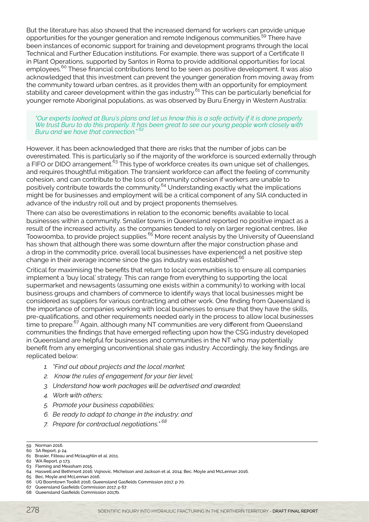But the literature has also showed that the increased demand for workers can provide unique opportunities for the younger generation and remote Indigenous communities.<sup>59</sup> There have been instances of economic support for training and development programs through the local Technical and Further Education institutions. For example, there was support of a Certificate II in Plant Operations, supported by Santos in Roma to provide additional opportunities for local employees.<sup>60</sup> These financial contributions tend to be seen as positive development. It was also acknowledged that this investment can prevent the younger generation from moving away from the community toward urban centres, as it provides them with an opportunity for employment stability and career development within the gas industry.<sup>61</sup> This can be particularly beneficial for younger remote Aboriginal populations, as was observed by Buru Energy in Western Australia:

*"Our experts looked at Buru's plans and let us know this is a safe activity if it is done properly. We trust Buru to do this properly. It has been great to see our young people work closely with Buru and we have that connection." 62*

However, it has been acknowledged that there are risks that the number of jobs can be overestimated. This is particularly so if the majority of the workforce is sourced externally through a FIFO or DIDO arrangement.<sup>63</sup> This type of workforce creates its own unique set of challenges, and requires thoughtful mitigation. The transient workforce can affect the feeling of community cohesion, and can contribute to the loss of community cohesion if workers are unable to positively contribute towards the community.<sup>64</sup> Understanding exactly what the implications might be for businesses and employment will be a critical component of any SIA conducted in advance of the industry roll out and by project proponents themselves.

There can also be overestimations in relation to the economic benefits available to local businesses within a community. Smaller towns in Queensland reported no positive impact as a result of the increased activity, as the companies tended to rely on larger regional centres, like Toowoomba, to provide project supplies.65 More recent analysis by the University of Queensland has shown that although there was some downturn after the major construction phase and a drop in the commodity price, overall local businesses have experienced a net positive step change in their average income since the gas industry was established.<sup>66</sup>

Critical for maximising the benefits that return to local communities is to ensure all companies implement a 'buy local' strategy. This can range from everything to supporting the local supermarket and newsagents (assuming one exists within a community) to working with local business groups and chambers of commerce to identify ways that local businesses might be considered as suppliers for various contracting and other work. One finding from Queensland is the importance of companies working with local businesses to ensure that they have the skills, pre-qualifications, and other requirements needed early in the process to allow local businesses time to prepare.<sup>67</sup> Again, although many NT communities are very different from Queensland communities the findings that have emerged reflecting upon how the CSG industry developed in Queensland are helpful for businesses and communities in the NT who may potentially benefit from any emerging unconventional shale gas industry. Accordingly, the key findings are replicated below:

- *1. "Find out about projects and the local market;*
- *2. Know the rules of engagement for your tier level;*
- *3. Understand how work packages will be advertised and awarded;*
- *4. Work with others;*
- *5. Promote your business capabilities;*
- *6. Be ready to adapt to change in the industry; and*
- *7. Prepare for contractual negotiations." 68*

<sup>59</sup> Norman 2016.

<sup>60</sup> SA Report, p 24.

<sup>61</sup> Brasier, Filteau and Mclaughlin et al. 2011.

<sup>62</sup> WA Report, p 173.

<sup>63</sup> Fleming and Measham 2015.

<sup>64</sup> Haswell and Bethmont 2016; Vojnovic, Michelson and Jackson et al. 2014; Bec, Moyle and McLennan 2016.

<sup>65</sup> Bec, Moyle and McLennan 2016.

<sup>66</sup> UQ Boomtown Toolkit 2016; Queensland Gasfields Commission 2017, p 70.

<sup>67</sup> Queensland Gasfields Commission 2017, p 67.

<sup>68</sup> Queensland Gasfields Commission 2017b.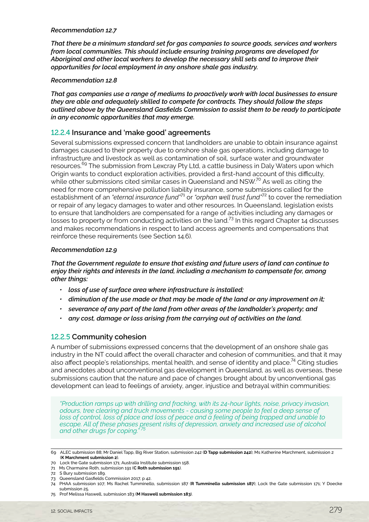#### *Recommendation 12.7*

*That there be a minimum standard set for gas companies to source goods, services and workers from local communities. This should include ensuring training programs are developed for Aboriginal and other local workers to develop the necessary skill sets and to improve their opportunities for local employment in any onshore shale gas industry.*

#### *Recommendation 12.8*

*That gas companies use a range of mediums to proactively work with local businesses to ensure they are able and adequately skilled to compete for contracts. They should follow the steps outlined above by the Queensland Gasfields Commission to assist them to be ready to participate in any economic opportunities that may emerge.*

#### 12.2.4 **Insurance and 'make good' agreements**

Several submissions expressed concern that landholders are unable to obtain insurance against damages caused to their property due to onshore shale gas operations, including damage to infrastructure and livestock as well as contamination of soil, surface water and groundwater resources.<sup>69</sup> The submission from Lexcray Pty Ltd, a cattle business in Daly Waters upon which Origin wants to conduct exploration activities, provided a first-hand account of this difficulty, while other submissions cited similar cases in Queensland and NSW.<sup>70</sup> As well as citing the need for more comprehensive pollution liability insurance, some submissions called for the establishment of an *"eternal insurance fund"*71 or *"orphan well trust fund"*72 to cover the remediation or repair of any legacy damages to water and other resources. In Queensland, legislation exists to ensure that landholders are compensated for a range of activities including any damages or losses to property or from conducting activities on the land.<sup>73</sup> In this regard Chapter 14 discusses and makes recommendations in respect to land access agreements and compensations that reinforce these requirements (see Section 14.6).

#### *Recommendation 12.9*

*That the Government regulate to ensure that existing and future users of land can continue to enjoy their rights and interests in the land, including a mechanism to compensate for, among other things:*

- *• loss of use of surface area where infrastructure is installed;*
- *• diminution of the use made or that may be made of the land or any improvement on it;*
- *• severance of any part of the land from other areas of the landholder's property; and*
- *• any cost, damage or loss arising from the carrying out of activities on the land.*

#### 12.2.5 **Community cohesion**

A number of submissions expressed concerns that the development of an onshore shale gas industry in the NT could affect the overall character and cohesion of communities, and that it may also affect people's relationships, mental health, and sense of identity and place.<sup>74</sup> Citing studies and anecdotes about unconventional gas development in Queensland, as well as overseas, these submissions caution that the nature and pace of changes brought about by unconventional gas development can lead to feelings of anxiety, anger, injustice and betrayal within communities:

*"Production ramps up with drilling and fracking, with its 24-hour lights, noise, privacy invasion, odours, tree clearing and truck movements - causing some people to feel a deep sense of*  loss of control, loss of place and loss of peace and a feeling of being trapped and unable to *escape. All of these phases present risks of depression, anxiety and increased use of alcohol and other drugs for coping." 75*

72 S Bury submission 189.

75 Prof Melissa Haswell, submission 183 (**M Haswell submission 183**).

<sup>69</sup> ALEC submission 88; Mr Daniel Tapp, Big River Station, submission 242 (**D Tapp submission 242**); Ms Katherine Marchment, submission 2 (**K Marchment submission 2**).

<sup>70</sup> Lock the Gate submission 171; Australia Institute submission 158.

<sup>71</sup> Ms Charmaine Roth, submission 191 (**C Roth submission 191**).

<sup>73</sup> Queensland Gasfields Commission 2017, p 42.

<sup>74</sup> PHAA submission 107; Ms Rachel Tumminello, submission 187 (**R Tumminello submission 187**); Lock the Gate submission 171; Y Doecke submission 25.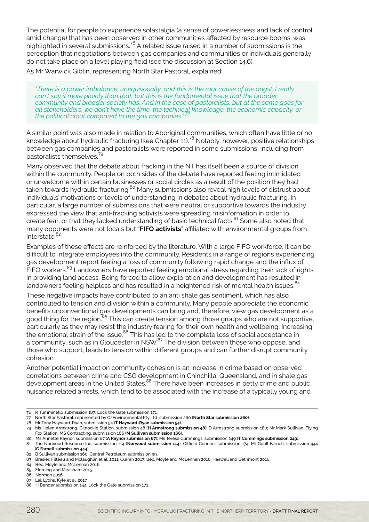The potential for people to experience solastalgia (a sense of powerlessness and lack of control amid change) that has been observed in other communities affected by resource booms, was highlighted in several submissions.76 A related issue raised in a number of submissions is the perception that negotiations between gas companies and communities or individuals generally do not take place on a level playing field (see the discussion at Section 14.6).

As Mr Warwick Giblin, representing North Star Pastoral, explained:

*"There is a power imbalance, unequivocally, and this is the root cause of the angst. I really can't say it more plainly than that, but this is the fundamental issue that the broader community and broader society has. And in the case of pastoralists, but at the same goes for all stakeholders, we don't have the time, the technical knowledge, the economic capacity, or the political clout compared to the gas companies.* 

A similar point was also made in relation to Aboriginal communities, which often have little or no knowledge about hydraulic fracturing (see Chapter 11).<sup>78</sup> Notably, however, positive relationships between gas companies and pastoralists were reported in some submissions, including from pastoralists themselves.79

Many observed that the debate about fracking in the NT has itself been a source of division within the community. People on both sides of the debate have reported feeling intimidated or unwelcome within certain businesses or social circles as a result of the position they had taken towards hydraulic fracturing.<sup>80</sup> Many submissions also reveal high levels of distrust about taken towards hydraulic fracturing.<sup>80</sup> Many submissions also reveal high levels of distrust about individuals' motivations or levels of understanding in debates about hydraulic fracturing. In particular, a large number of submissions that were neutral or supportive towards the industry expressed the view that anti-fracking activists were spreading misinformation in order to create fear, or that they lacked understanding of basic technical facts.<sup>81</sup> Some also noted that many opponents were not locals but "**FIFO activists**" affiliated with environmental groups from interstate.<sup>82</sup>

Examples of these effects are reinforced by the literature. With a large FIFO workforce, it can be difficult to integrate employees into the community. Residents in a range of regions experiencing gas development report feeling a loss of community following rapid change and the influx of FIFO workers.<sup>83</sup> Landowners have reported feeling emotional stress regarding their lack of rights in providing land access. Being forced to allow exploration and development has resulted in landowners feeling helpless and has resulted in a heightened risk of mental health issues.<sup>84</sup>

These negative impacts have contributed to an anti shale gas sentiment, which has also contributed to tension and division within a community. Many people appreciate the economic benefits unconventional gas developments can bring and, therefore, view gas development as a good thing for the region.<sup>85</sup> This can create tension among those groups who are not supportive, particularly as they may resist the industry fearing for their own health and wellbeing, increasing the emotional strain of the issue.<sup>86</sup> This has led to the complete loss of social acceptance in a community, such as in Gloucester in NSW.<sup>87</sup> The division between those who oppose, and those who support, leads to tension within different groups and can further disrupt community cohesion.

Another potential impact on community cohesion is an increase in crime based on observed correlations between crime and CSG development in Chinchilla, Queensland, and in shale gas development areas in the United States.88 There have been increases in petty crime and public nuisance related arrests, which tend to be associated with the increase of a typically young and

84 Bec, Moyle and McLennan 2016.

<sup>76</sup> R Tumminello submission 187; Lock the Gate submission 171.

<sup>77</sup> North Star Pastoral, represented by OzEnvironmental Pty Ltd, submission 260 (**North Star submission 260**).

<sup>78</sup> Mr Tony Hayward-Ryan, submission 54 (**T Hayward-Ryan submission 54**).

<sup>79</sup> Ms Helen Armstrong, Gilnockie Station, submission 48 (**H Armstrong submission 48**); D Armstrong submission 180; Mr Mark Sullivan, Flying Fox Station, MS Contracting, submission 166 (**M Sullivan submission 166**).

<sup>80</sup> Ms Annette Raynor, submission 67 (**A Raynor submission 67**); Ms Teresa Cummings, submission 249 (**T Cummings submission 249**).

<sup>81</sup> The Norwood Resource Inc, submission 114 (**Norwood submission 114**); Oilfield Connect submission 174; Mr Geoff Farnell, submission 444 (**G Farnell submission 444**).

<sup>82</sup> B Sullivan submission 160; Central Petroleum submission 99.

<sup>83</sup> Brasier, Filteau and Mclaughlin et al. 2011; Curran 2017; Bec, Moyle and McLennan 2016; Haswell and Bethmont 2016.

<sup>85</sup> Fleming and Measham 2015.

<sup>86</sup> Norman 2016.

<sup>87</sup> Lai, Lyons, Kyle et al. 2017.

<sup>88</sup> H Bender submission 144; Lock the Gate submission 171.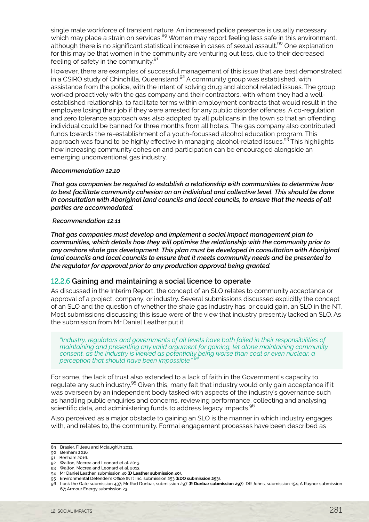single male workforce of transient nature. An increased police presence is usually necessary, which may place a strain on services.<sup>89</sup> Women may report feeling less safe in this environment, although there is no significant statistical increase in cases of sexual assault.<sup>90</sup> One explanation for this may be that women in the community are venturing out less, due to their decreased feeling of safety in the community.<sup>91</sup>

However, there are examples of successful management of this issue that are best demonstrated in a CSIRO study of Chinchilla, Queensland. $92$  A community group was established, with assistance from the police, with the intent of solving drug and alcohol related issues. The group worked proactively with the gas company and their contractors, with whom they had a wellestablished relationship, to facilitate terms within employment contracts that would result in the employee losing their job if they were arrested for any public disorder offences. A co-regulation and zero tolerance approach was also adopted by all publicans in the town so that an offending individual could be banned for three months from all hotels. The gas company also contributed funds towards the re-establishment of a youth-focussed alcohol education program. This approach was found to be highly effective in managing alcohol-related issues.<sup>93</sup> This highlights how increasing community cohesion and participation can be encouraged alongside an emerging unconventional gas industry.

#### *Recommendation 12.10*

*That gas companies be required to establish a relationship with communities to determine how to best facilitate community cohesion on an individual and collective level. This should be done in consultation with Aboriginal land councils and local councils, to ensure that the needs of all parties are accommodated.*

#### *Recommendation 12.11*

*That gas companies must develop and implement a social impact management plan to communities, which details how they will optimise the relationship with the community prior to any onshore shale gas development. This plan must be developed in consultation with Aboriginal land councils and local councils to ensure that it meets community needs and be presented to the regulator for approval prior to any production approval being granted.*

#### 12.2.6 **Gaining and maintaining a social licence to operate**

As discussed in the Interim Report, the concept of an SLO relates to community acceptance or approval of a project, company, or industry. Several submissions discussed explicitly the concept of an SLO and the question of whether the shale gas industry has, or could gain, an SLO in the NT. Most submissions discussing this issue were of the view that industry presently lacked an SLO. As the submission from Mr Daniel Leather put it:

*"Industry, regulators and governments of all levels have both failed in their responsibilities of maintaining and presenting any valid argument for gaining, let alone maintaining community consent, as the industry is viewed as potentially being worse than coal or even nuclear, a perception that should have been impossible." <sup>94</sup>*

For some, the lack of trust also extended to a lack of faith in the Government's capacity to regulate any such industry.<sup>95</sup> Given this, many felt that industry would only gain acceptance if it was overseen by an independent body tasked with aspects of the industry's governance such as handling public enquiries and concerns, reviewing performance, collecting and analysing scientific data, and administering funds to address legacy impacts.<sup>96</sup>

Also perceived as a major obstacle to gaining an SLO is the manner in which industry engages with, and relates to, the community. Formal engagement processes have been described as

- 92 Walton, Mccrea and Leonard et al. 2013.
- 93 Walton, Mccrea and Leonard et al. 2013.
- 94 Mr Daniel Leather, submission 40 (**D Leather submission 40**).
- 95 Environmental Defender's Office (NT) Inc, submission 253 (**EDO submission 253**).

<sup>89</sup> Brasier, Filteau and Mclaughlin 2011.

<sup>90</sup> Benham 2016.

<sup>91</sup> Benham 2016.

<sup>96</sup> Lock the Gate submission 437; Mr Rod Dunbar, submission 297 (**R Dunbar submission 297**); DR Johns, submission 154; A Raynor submission 67; Armour Energy submission 23.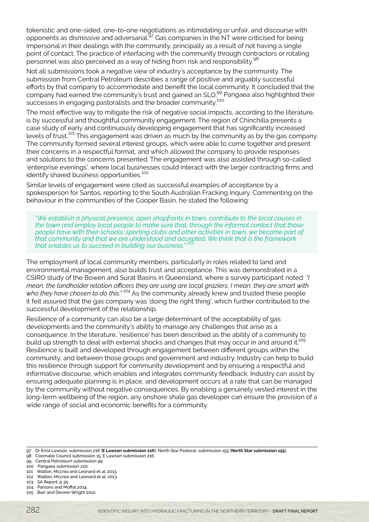tokenistic and one-sided, one-to-one negotiations as intimidating or unfair, and discourse with opponents as dismissive and adversarial.<sup>97</sup> Gas companies in the NT were criticised for being impersonal in their dealings with the community, principally as a result of not having a single point of contact. The practice of interfacing with the community through contractors or rotating personnel was also perceived as a way of hiding from risk and responsibility.<sup>98</sup>

Not all submissions took a negative view of industry's acceptance by the community. The submission from Central Petroleum describes a range of positive and arguably successful efforts by that company to accommodate and benefit the local community. It concluded that the company had earned the community's trust and gained an SLO.<sup>99</sup> Pangaea also highlighted their successes in engaging pastoralists and the broader community.<sup>100</sup>

The most effective way to mitigate the risk of negative social impacts, according to the literature, is by successful and thoughtful community engagement. The region of Chinchilla presents a case study of early and continuously developing engagement that has significantly increased levels of trust.101 This engagement was driven as much by the community as by the gas company. The community formed several interest groups, which were able to come together and present their concerns in a respectful format, and which allowed the company to provide responses and solutions to the concerns presented. The engagement was also assisted through so-called 'enterprise evenings', where local businesses could interact with the larger contracting firms and identify shared business opportunities.<sup>102</sup>

Similar levels of engagement were cited as successful examples of acceptance by a spokesperson for Santos, reporting to the South Australian Fracking Inquiry. Commenting on the behaviour in the communities of the Cooper Basin, he stated the following:

*"We establish a physical presence, open shopfronts in town, contribute to the local causes in the town and employ local people to make sure that, through the informal contact that those people have with their schools, sporting clubs and other activities in town, we become part of that community and that we are understood and accepted. We think that is the framework that enables us to succeed in building our business." <sup>103</sup>*

The employment of local community members, particularly in roles related to land and environmental management, also builds trust and acceptance. This was demonstrated in a CSIRO study of the Bowen and Surat Basins in Queensland, where a survey participant noted: *"I mean, the landholder relation officers they are using are local graziers. I mean, they are smart with who they have chosen to do this." 104* As the community already knew and trusted these people it felt assured that the gas company was 'doing the right thing', which further contributed to the successful development of the relationship.

Resilience of a community can also be a large determinant of the acceptability of gas developments and the community's ability to manage any challenges that arise as a consequence. In the literature, 'resilience' has been described as the ability of a community to build up strength to deal with external shocks and changes that may occur in and around it.<sup>105</sup> Resilience is built and developed through engagement between different groups within the community, and between those groups and government and industry. Industry can help to build this resilience through support for community development and by ensuring a respectful and informative discourse, which enables and integrates community feedback. Industry can assist by ensuring adequate planning is in place, and development occurs at a rate that can be managed by the community without negative consequences. By enabling a genuinely vested interest in the long-term wellbeing of the region, any onshore shale gas developer can ensure the provision of a wide range of social and economic benefits for a community.

<sup>97</sup> Dr Errol Lawson, submission 216 (**E Lawson submission 216**); North Star Pastoral, submission 155 (**North Star submission 155**).

<sup>98</sup> Coomalie Council submission 15; E Lawson submission 216.

<sup>99</sup> Central Petroleum submission 99. 100 Pangaea submission 220.

<sup>101</sup> Walton, Mccrea and Leonard et al. 2013. 102 Walton, Mccrea and Leonard et al. 2013.

<sup>103</sup> SA Report, p 35.

<sup>104</sup> Parsons and Moffat 2014.

<sup>105</sup> Barr and Devine-Wright 2012.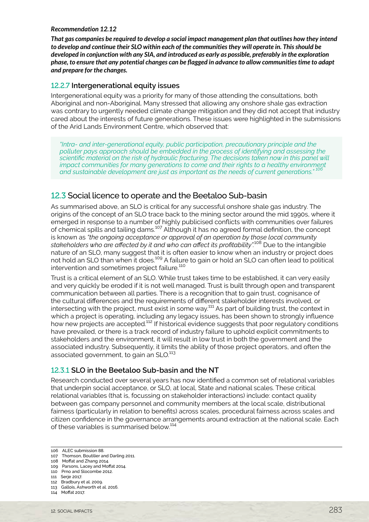#### <span id="page-14-0"></span>*Recommendation 12.12*

*That gas companies be required to develop a social impact management plan that outlines how they intend to develop and continue their SLO within each of the communities they will operate in. This should be developed in conjunction with any SIA, and introduced as early as possible, preferably in the exploration phase, to ensure that any potential changes can be flagged in advance to allow communities time to adapt and prepare for the changes.*

#### 12.2.7 **Intergenerational equity issues**

Intergenerational equity was a priority for many of those attending the consultations, both Aboriginal and non-Aboriginal. Many stressed that allowing any onshore shale gas extraction was contrary to urgently needed climate change mitigation and they did not accept that industry cared about the interests of future generations. These issues were highlighted in the submissions of the Arid Lands Environment Centre, which observed that:

*"Intra- and inter-generational equity, public participation, precautionary principle and the polluter pays approach should be embedded in the process of identifying and assessing the scientific material on the risk of hydraulic fracturing. The decisions taken now in this panel will impact communities for many generations to come and their rights to a healthy environment and sustainable development are just as important as the needs of current generations." 106*

#### 12.3 Social licence to operate and the Beetaloo Sub-basin

As summarised above, an SLO is critical for any successful onshore shale gas industry. The origins of the concept of an SLO trace back to the mining sector around the mid 1990s, where it emerged in response to a number of highly publicised conflicts with communities over failures of chemical spills and tailing dams.107 Although it has no agreed formal definition, the concept is known as *"the ongoing acceptance or approval of an operation by those local community stakeholders who are affected by it and who can affect its profitability".*108 Due to the intangible nature of an SLO, many suggest that it is often easier to know when an industry or project does not hold an SLO than when it does.<sup>109</sup> A failure to gain or hold an SLO can often lead to political intervention and sometimes project failure.<sup>110</sup>

Trust is a critical element of an SLO. While trust takes time to be established, it can very easily and very quickly be eroded if it is not well managed. Trust is built through open and transparent communication between all parties. There is a recognition that to gain trust, cognisance of the cultural differences and the requirements of different stakeholder interests involved, or intersecting with the project, must exist in some way.<sup>111</sup> As part of building trust, the context in which a project is operating, including any legacy issues, has been shown to strongly influence how new projects are accepted.112 If historical evidence suggests that poor regulatory conditions have prevailed, or there is a track record of industry failure to uphold explicit commitments to stakeholders and the environment, it will result in low trust in both the government and the associated industry. Subsequently, it limits the ability of those project operators, and often the associated government, to gain an SLO.<sup>113</sup>

#### 12.3.1 **SLO in the Beetaloo Sub-basin and the NT**

Research conducted over several years has now identified a common set of relational variables that underpin social acceptance, or SLO, at local, State and national scales. These critical relational variables (that is, focussing on stakeholder interactions) include: contact quality between gas company personnel and community members at the local scale, distributional fairness (particularly in relation to benefits) across scales, procedural fairness across scales and citizen confidence in the governance arrangements around extraction at the national scale. Each of these variables is summarised below.<sup>114</sup>

<sup>106</sup> ALEC submission 88.

<sup>107</sup> Thomson, Boutilier and Darling 2011.

<sup>108</sup> Moffat and Zhang 2014.

<sup>109</sup> Parsons, Lacey and Moffat 2014. 110 Prno and Slocombe 2012.

<sup>111</sup> Serje 2017.

<sup>112</sup> Bradbury et al. 2009.

<sup>113</sup> Gallois, Ashworth et al. 2016.

<sup>114</sup> Moffat 2017.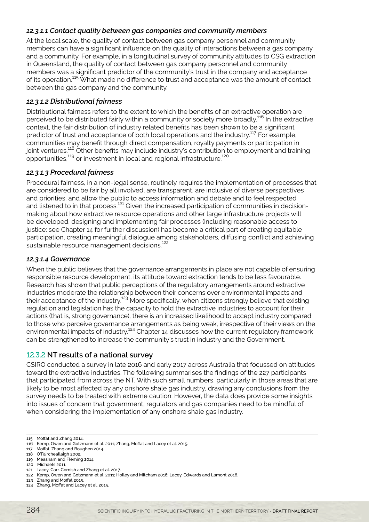#### *12.3.1.1 Contact quality between gas companies and community members*

At the local scale, the quality of contact between gas company personnel and community members can have a significant influence on the quality of interactions between a gas company and a community. For example, in a longitudinal survey of community attitudes to CSG extraction in Queensland, the quality of contact between gas company personnel and community members was a significant predictor of the community's trust in the company and acceptance of its operation.115 What made no difference to trust and acceptance was the amount of contact between the gas company and the community.

#### *12.3.1.2 Distributional fairness*

Distributional fairness refers to the extent to which the benefits of an extractive operation are perceived to be distributed fairly within a community or society more broadly.<sup>116</sup> In the extractive context, the fair distribution of industry related benefits has been shown to be a significant predictor of trust and acceptance of both local operations and the industry.<sup>117</sup> For example, communities may benefit through direct compensation, royalty payments or participation in joint ventures.<sup>118</sup> Other benefits may include industry's contribution to employment and training opportunities,119 or investment in local and regional infrastructure.120

#### *12.3.1.3 Procedural fairness*

Procedural fairness, in a non-legal sense, routinely requires the implementation of processes that are considered to be fair by all involved, are transparent, are inclusive of diverse perspectives and priorities, and allow the public to access information and debate and to feel respected and listened to in that process.<sup>121</sup> Given the increased participation of communities in decisionmaking about how extractive resource operations and other large infrastructure projects will be developed, designing and implementing fair processes (including reasonable access to justice: see Chapter 14 for further discussion) has become a critical part of creating equitable participation, creating meaningful dialogue among stakeholders, diffusing conflict and achieving sustainable resource management decisions.<sup>122</sup>

#### *12.3.1.4 Governance*

When the public believes that the governance arrangements in place are not capable of ensuring responsible resource development, its attitude toward extraction tends to be less favourable. Research has shown that public perceptions of the regulatory arrangements around extractive industries moderate the relationship between their concerns over environmental impacts and their acceptance of the industry.<sup>123</sup> More specifically, when citizens strongly believe that existing regulation and legislation has the capacity to hold the extractive industries to account for their actions (that is, strong governance), there is an increased likelihood to accept industry compared to those who perceive governance arrangements as being weak, irrespective of their views on the environmental impacts of industry.<sup>124</sup> Chapter 14 discusses how the current regulatory framework can be strengthened to increase the community's trust in industry and the Government.

#### 12.3.2 **NT results of a national survey**

CSIRO conducted a survey in late 2016 and early 2017 across Australia that focussed on attitudes toward the extractive industries. The following summarises the findings of the 227 participants that participated from across the NT. With such small numbers, particularly in those areas that are likely to be most affected by any onshore shale gas industry, drawing any conclusions from the survey needs to be treated with extreme caution. However, the data does provide some insights into issues of concern that government, regulators and gas companies need to be mindful of when considering the implementation of any onshore shale gas industry.

118 O'Faircheallaigh 2002.

121 Lacey, Carr-Cornish and Zhang et al. 2017.

123 Zhang and Moffat 2015.

<sup>115</sup> Moffat and Zhang 2014.

<sup>116</sup> Kemp, Owen and Gotzmann et al. 2011; Zhang, Moffat and Lacey et al. 2015. 117 Moffat, Zhang and Boughen 2014.

<sup>119</sup> Measham and Fleming 2014.

<sup>120</sup> Michaels 2011.

<sup>122</sup> Kemp, Owen and Gotzmann et al. 2011; Holley and Mitcham 2016; Lacey, Edwards and Lamont 2016.

<sup>124</sup> Zhang, Moffat and Lacey et al. 2015.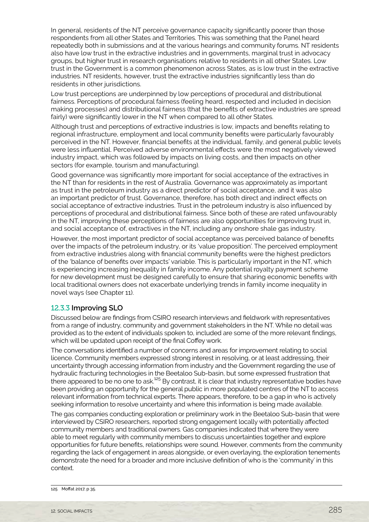In general, residents of the NT perceive governance capacity significantly poorer than those respondents from all other States and Territories. This was something that the Panel heard repeatedly both in submissions and at the various hearings and community forums. NT residents also have low trust in the extractive industries and in governments, marginal trust in advocacy groups, but higher trust in research organisations relative to residents in all other States. Low trust in the Government is a common phenomenon across States, as is low trust in the extractive industries. NT residents, however, trust the extractive industries significantly less than do residents in other jurisdictions.

Low trust perceptions are underpinned by low perceptions of procedural and distributional fairness. Perceptions of procedural fairness (feeling heard, respected and included in decision making processes) and distributional fairness (that the benefits of extractive industries are spread fairly) were significantly lower in the NT when compared to all other States.

Although trust and perceptions of extractive industries is low, impacts and benefits relating to regional infrastructure, employment and local community benefits were particularly favourably perceived in the NT. However, financial benefits at the individual, family, and general public levels were less influential. Perceived adverse environmental effects were the most negatively viewed industry impact, which was followed by impacts on living costs, and then impacts on other sectors (for example, tourism and manufacturing).

Good governance was significantly more important for social acceptance of the extractives in the NT than for residents in the rest of Australia. Governance was approximately as important as trust in the petroleum industry as a direct predictor of social acceptance, and it was also an important predictor of trust. Governance, therefore, has both direct and indirect effects on social acceptance of extractive industries. Trust in the petroleum industry is also influenced by perceptions of procedural and distributional fairness. Since both of these are rated unfavourably in the NT, improving these perceptions of fairness are also opportunities for improving trust in, and social acceptance of, extractives in the NT, including any onshore shale gas industry.

However, the most important predictor of social acceptance was perceived balance of benefits over the impacts of the petroleum industry, or its 'value proposition'. The perceived employment from extractive industries along with financial community benefits were the highest predictors of the 'balance of benefits over impacts' variable. This is particularly important in the NT, which is experiencing increasing inequality in family income. Any potential royalty payment scheme for new development must be designed carefully to ensure that sharing economic benefits with local traditional owners does not exacerbate underlying trends in family income inequality in novel ways (see Chapter 11).

#### 12.3.3 **Improving SLO**

Discussed below are findings from CSIRO research interviews and fieldwork with representatives from a range of industry, community and government stakeholders in the NT. While no detail was provided as to the extent of individuals spoken to, included are some of the more relevant findings, which will be updated upon receipt of the final Coffey work.

The conversations identified a number of concerns and areas for improvement relating to social licence. Community members expressed strong interest in resolving, or at least addressing, their uncertainty through accessing information from industry and the Government regarding the use of hydraulic fracturing technologies in the Beetaloo Sub-basin, but some expressed frustration that there appeared to be no one to ask.<sup>125</sup> By contrast, it is clear that industry representative bodies have been providing an opportunity for the general public in more populated centres of the NT to access relevant information from technical experts. There appears, therefore, to be a gap in who is actively seeking information to resolve uncertainty and where this information is being made available.

The gas companies conducting exploration or preliminary work in the Beetaloo Sub-basin that were interviewed by CSIRO researchers, reported strong engagement locally with potentially affected community members and traditional owners. Gas companies indicated that where they were able to meet regularly with community members to discuss uncertainties together and explore opportunities for future benefits, relationships were sound. However, comments from the community regarding the lack of engagement in areas alongside, or even overlaying, the exploration tenements demonstrate the need for a broader and more inclusive definition of who is the 'community' in this context.

<sup>125</sup> Moffat 2017, p 35.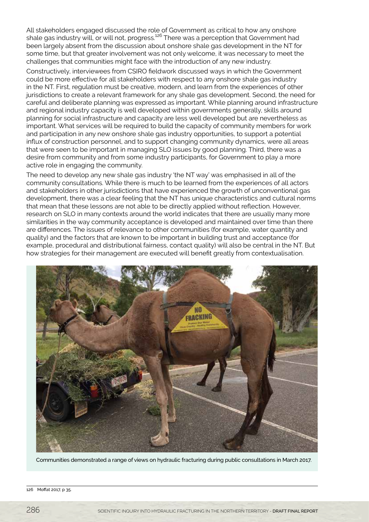All stakeholders engaged discussed the role of Government as critical to how any onshore shale gas industry will, or will not, progress.<sup>126</sup> There was a perception that Government had been largely absent from the discussion about onshore shale gas development in the NT for some time, but that greater involvement was not only welcome, it was necessary to meet the challenges that communities might face with the introduction of any new industry.

Constructively, interviewees from CSIRO fieldwork discussed ways in which the Government could be more effective for all stakeholders with respect to any onshore shale gas industry in the NT. First, regulation must be creative, modern, and learn from the experiences of other jurisdictions to create a relevant framework for any shale gas development. Second, the need for careful and deliberate planning was expressed as important. While planning around infrastructure and regional industry capacity is well developed within governments generally, skills around planning for social infrastructure and capacity are less well developed but are nevertheless as important. What services will be required to build the capacity of community members for work and participation in any new onshore shale gas industry opportunities, to support a potential influx of construction personnel, and to support changing community dynamics, were all areas that were seen to be important in managing SLO issues by good planning. Third, there was a desire from community and from some industry participants, for Government to play a more active role in engaging the community.

The need to develop any new shale gas industry 'the NT way' was emphasised in all of the community consultations. While there is much to be learned from the experiences of all actors and stakeholders in other jurisdictions that have experienced the growth of unconventional gas development, there was a clear feeling that the NT has unique characteristics and cultural norms that mean that these lessons are not able to be directly applied without reflection. However, research on SLO in many contexts around the world indicates that there are usually many more similarities in the way community acceptance is developed and maintained over time than there are differences. The issues of relevance to other communities (for example, water quantity and quality) and the factors that are known to be important in building trust and acceptance (for example, procedural and distributional fairness, contact quality) will also be central in the NT. But how strategies for their management are executed will benefit greatly from contextualisation.



Communities demonstrated a range of views on hydraulic fracturing during public consultations in March 2017.

126 Moffat 2017, p 35.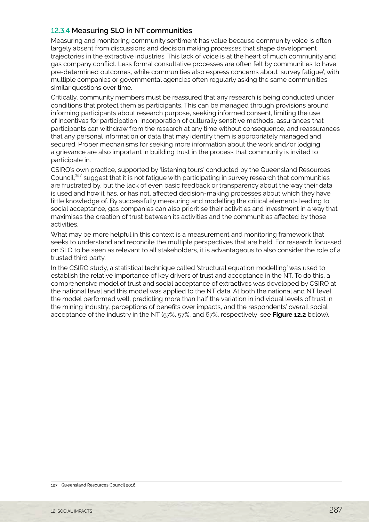#### 12.3.4 **Measuring SLO in NT communities**

Measuring and monitoring community sentiment has value because community voice is often largely absent from discussions and decision making processes that shape development trajectories in the extractive industries. This lack of voice is at the heart of much community and gas company conflict. Less formal consultative processes are often felt by communities to have pre-determined outcomes, while communities also express concerns about 'survey fatigue', with multiple companies or governmental agencies often regularly asking the same communities similar questions over time.

Critically, community members must be reassured that any research is being conducted under conditions that protect them as participants. This can be managed through provisions around informing participants about research purpose, seeking informed consent, limiting the use of incentives for participation, incorporation of culturally sensitive methods, assurances that participants can withdraw from the research at any time without consequence, and reassurances that any personal information or data that may identify them is appropriately managed and secured. Proper mechanisms for seeking more information about the work and/or lodging a grievance are also important in building trust in the process that community is invited to participate in.

CSIRO's own practice, supported by 'listening tours' conducted by the Queensland Resources Council,<sup>127</sup> suggest that it is not fatigue with participating in survey research that communities are frustrated by, but the lack of even basic feedback or transparency about the way their data is used and how it has, or has not, affected decision-making processes about which they have little knowledge of. By successfully measuring and modelling the critical elements leading to social acceptance, gas companies can also prioritise their activities and investment in a way that maximises the creation of trust between its activities and the communities affected by those activities.

What may be more helpful in this context is a measurement and monitoring framework that seeks to understand and reconcile the multiple perspectives that are held. For research focussed on SLO to be seen as relevant to all stakeholders, it is advantageous to also consider the role of a trusted third party.

In the CSIRO study, a statistical technique called 'structural equation modelling' was used to establish the relative importance of key drivers of trust and acceptance in the NT. To do this, a comprehensive model of trust and social acceptance of extractives was developed by CSIRO at the national level and this model was applied to the NT data. At both the national and NT level the model performed well, predicting more than half the variation in individual levels of trust in the mining industry, perceptions of benefits over impacts, and the respondents' overall social acceptance of the industry in the NT (57%, 57%, and 67%, respectively: see **Figure 12.2** below).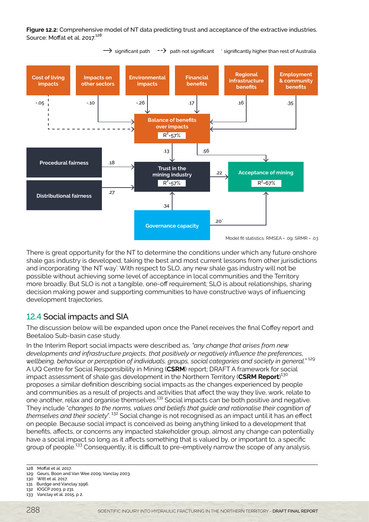<span id="page-19-0"></span>**Figure 12.2:** Comprehensive model of NT data predicting trust and acceptance of the extractive industries. Source: Moffat et al. 2017.<sup>128</sup>



There is great opportunity for the NT to determine the conditions under which any future onshore shale gas industry is developed, taking the best and most current lessons from other jurisdictions and incorporating 'the NT way'. With respect to SLO, any new shale gas industry will not be possible without achieving some level of acceptance in local communities and the Territory more broadly. But SLO is not a tangible, one-off requirement; SLO is about relationships, sharing decision making power and supporting communities to have constructive ways of influencing development trajectories.

#### 12.4 Social impacts and SIA

The discussion below will be expanded upon once the Panel receives the final Coffey report and Beetaloo Sub-basin case study.

In the Interim Report social impacts were described as, *"any change that arises from new developments and infrastructure projects, that positively or negatively influence the preferences, wellbeing, behaviour or perception of individuals, groups, social categories and society in general."* <sup>129</sup> A UQ Centre for Social Responsibility in Mining (**CSRM**) report; DRAFT A framework for social impact assessment of shale gas development in the Northern Territory (**CSRM Report**) 130 proposes a similar definition describing social impacts as the changes experienced by people and communities as a result of projects and activities that affect the way they live, work, relate to one another, relax and organise themselves.131 Social impacts can be both positive and negative. They include "*changes to the norms, values and beliefs that guide and rationalise their cognition of themselves and their society*". 132 Social change is not recognised as an impact until it has an effect on people. Because social impact is conceived as being anything linked to a development that benefits, affects, or concerns any impacted stakeholder group, almost any change can potentially have a social impact so long as it affects something that is valued by, or important to, a specific group of people.<sup>133</sup> Consequently, it is difficult to pre-emptively narrow the scope of any analysis.

131 Burdge and Vanclay 1996.

<sup>128</sup> Moffat et al. 2017.

<sup>129</sup> Geurs, Boon and Van Wee 2009; Vanclay 2003.

<sup>130</sup> Witt et al. 2017.

<sup>132</sup> IOGCP 2003, p 231. 133 Vanclay et al. 2015, p 2.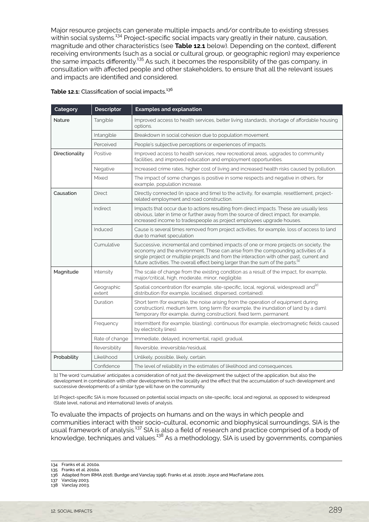Major resource projects can generate multiple impacts and/or contribute to existing stresses within social systems.<sup>134</sup> Project-specific social impacts vary greatly in their nature, causation, magnitude and other characteristics (see **Table 12.1** below). Depending on the context, different receiving environments (such as a social or cultural group, or geographic region) may experience the same impacts differently.<sup>135</sup> As such, it becomes the responsibility of the gas company, in consultation with affected people and other stakeholders, to ensure that all the relevant issues and impacts are identified and considered.

| Category       | <b>Descriptor</b>    | <b>Examples and explanation</b>                                                                                                                                                                                                                                                                                                                                        |
|----------------|----------------------|------------------------------------------------------------------------------------------------------------------------------------------------------------------------------------------------------------------------------------------------------------------------------------------------------------------------------------------------------------------------|
| <b>Nature</b>  | Tangible             | Improved access to health services, better living standards, shortage of affordable housing<br>options.                                                                                                                                                                                                                                                                |
|                | Intangible           | Breakdown in social cohesion due to population movement.                                                                                                                                                                                                                                                                                                               |
|                | Perceived            | People's subjective perceptions or experiences of impacts.                                                                                                                                                                                                                                                                                                             |
| Directionality | Positive             | Improved access to health services, new recreational areas, upgrades to community<br>facilities, and improved education and employment opportunities.                                                                                                                                                                                                                  |
|                | Negative             | Increased crime rates, higher cost of living and increased health risks caused by pollution.                                                                                                                                                                                                                                                                           |
|                | Mixed                | The impact of some changes is positive in some respects and negative in others, for<br>example, population increase.                                                                                                                                                                                                                                                   |
| Causation      | <b>Direct</b>        | Directly connected (in space and time) to the activity, for example, resettlement, project-<br>related employment and road construction.                                                                                                                                                                                                                               |
|                | Indirect             | Impacts that occur due to actions resulting from direct impacts. These are usually less<br>obvious, later in time or further away from the source of direct impact, for example,<br>increased income to tradespeople as project employees upgrade houses.                                                                                                              |
|                | Induced              | Cause is several times removed from project activities, for example, loss of access to land<br>due to market speculation                                                                                                                                                                                                                                               |
|                | Cumulative           | Successive, incremental and combined impacts of one or more projects on society, the<br>economy and the environment. These can arise from the compounding activities of a<br>single project or multiple projects and from the interaction with other past, current and<br>future activities. The overall effect being larger than the sum of the parts. <sup>[1]</sup> |
| Magnitude      | Intensity            | The scale of change from the existing condition as a result of the impact, for example,<br>major/critical, high, moderate, minor, negligible.                                                                                                                                                                                                                          |
|                | Geographic<br>extent | Spatial concentration (for example, site-specific, local, regional, widespread) and <sup>[2]</sup><br>distribution (for example, localised, dispersed, contained).                                                                                                                                                                                                     |
|                | Duration             | Short term (for example, the noise arising from the operation of equipment during<br>construction), medium term, long term (for example, the inundation of land by a dam).<br>Temporary (for example, during construction), fixed term, permanent.                                                                                                                     |
|                | Frequency            | Intermittent (for example, blasting), continuous (for example, electromagnetic fields caused<br>by electricity lines).                                                                                                                                                                                                                                                 |
|                | Rate of change       | Immediate, delayed, incremental, rapid, gradual.                                                                                                                                                                                                                                                                                                                       |
|                | Reversibility        | Reversible, irreversible/residual.                                                                                                                                                                                                                                                                                                                                     |
| Probability    | Likelihood           | Unlikely, possible, likely, certain.                                                                                                                                                                                                                                                                                                                                   |
|                | Confidence           | The level of reliability in the estimates of likelihood and consequences.                                                                                                                                                                                                                                                                                              |

Table 12.1: Classification of social impacts.<sup>136</sup>

[1] The word 'cumulative' anticipates a consideration of not just the development the subject of the application, but also the development in combination with other developments in the locality and the effect that the accumulation of such development and successive developments of a similar type will have on the community.

[2] Project-specific SIA is more focussed on potential social impacts on site-specific, local and regional, as opposed to widespread (State level, national and international) levels of analysis.

To evaluate the impacts of projects on humans and on the ways in which people and communities interact with their socio-cultural, economic and biophysical surroundings, SIA is the usual framework of analysis.<sup>137</sup> SIA is also a field of research and practice comprised of a body of knowledge, techniques and values. $^{138}$  As a methodology, SIA is used by governments, companies

134 Franks et al. 2010a.

135 Franks et al. 2010a.

137 Vanclay 2003.

138 Vanclay 2003.

<sup>136</sup> Adapted from IRMA 2016; Burdge and Vanclay 1996; Franks et al. 2010b; Joyce and MacFarlane 2001.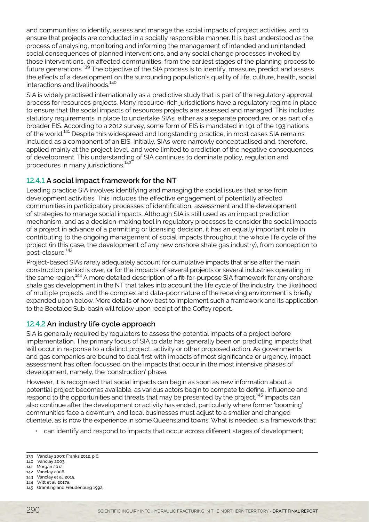and communities to identify, assess and manage the social impacts of project activities, and to ensure that projects are conducted in a socially responsible manner. It is best understood as the process of analysing, monitoring and informing the management of intended and unintended social consequences of planned interventions, and any social change processes invoked by those interventions, on affected communities, from the earliest stages of the planning process to future generations.<sup>139</sup> The objective of the SIA process is to identify, measure, predict and assess the effects of a development on the surrounding population's quality of life, culture, health, social interactions and livelihoods.<sup>140</sup>

SIA is widely practised internationally as a predictive study that is part of the regulatory approval process for resources projects. Many resource-rich jurisdictions have a regulatory regime in place to ensure that the social impacts of resources projects are assessed and managed. This includes statutory requirements in place to undertake SIAs, either as a separate procedure, or as part of a broader EIS. According to a 2012 survey, some form of EIS is mandated in 191 of the 193 nations of the world.<sup>141</sup> Despite this widespread and longstanding practice, in most cases SIA remains included as a component of an EIS. Initially, SIAs were narrowly conceptualised and, therefore, applied mainly at the project level, and were limited to prediction of the negative consequences of development. This understanding of SIA continues to dominate policy, regulation and procedures in many jurisdictions.<sup>142</sup>

#### 12.4.1 **A social impact framework for the NT**

Leading practice SIA involves identifying and managing the social issues that arise from development activities. This includes the effective engagement of potentially affected communities in participatory processes of identification, assessment and the development of strategies to manage social impacts. Although SIA is still used as an impact prediction mechanism, and as a decision-making tool in regulatory processes to consider the social impacts of a project in advance of a permitting or licensing decision, it has an equally important role in contributing to the ongoing management of social impacts throughout the whole life cycle of the project (in this case, the development of any new onshore shale gas industry), from conception to post-closure.<sup>143</sup>

Project-based SIAs rarely adequately account for cumulative impacts that arise after the main construction period is over, or for the impacts of several projects or several industries operating in the same region.<sup>144</sup> A more detailed description of a fit-for-purpose SIA framework for any onshore shale gas development in the NT that takes into account the life cycle of the industry, the likelihood of multiple projects, and the complex and data-poor nature of the receiving environment is briefly expanded upon below. More details of how best to implement such a framework and its application to the Beetaloo Sub-basin will follow upon receipt of the Coffey report.

#### 12.4.2 **An industry life cycle approach**

SIA is generally required by regulators to assess the potential impacts of a project before implementation. The primary focus of SIA to date has generally been on predicting impacts that will occur in response to a distinct project, activity or other proposed action. As governments and gas companies are bound to deal first with impacts of most significance or urgency, impact assessment has often focussed on the impacts that occur in the most intensive phases of development, namely, the 'construction' phase.

However, it is recognised that social impacts can begin as soon as new information about a potential project becomes available, as various actors begin to compete to define, influence and respond to the opportunities and threats that may be presented by the project.<sup>145</sup> Impacts can also continue after the development or activity has ended, particularly where former 'booming' communities face a downturn, and local businesses must adjust to a smaller and changed clientele, as is now the experience in some Queensland towns. What is needed is a framework that:

• can identify and respond to impacts that occur across different stages of development;

- 140 Vanclay 2003. 141 Morgan 2012.
- 142 Vanclay 2006.

144 Witt et al. 2017a.

<sup>139</sup> Vanclay 2003; Franks 2012, p 6.

<sup>143</sup> Vanclay et al. 2015.

<sup>145</sup> Gramling and Freudenburg 1992.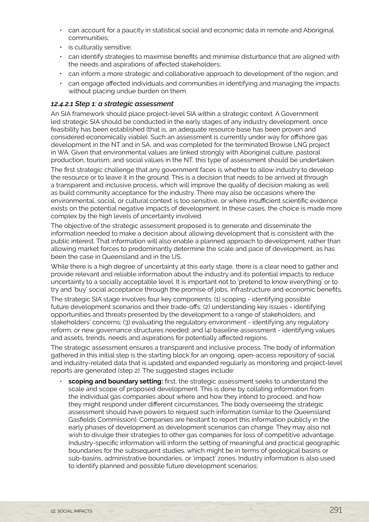- can account for a paucity in statistical social and economic data in remote and Aboriginal communities;
- is culturally sensitive;
- can identify strategies to maximise benefits and minimise disturbance that are aligned with the needs and aspirations of affected stakeholders;
- can inform a more strategic and collaborative approach to development of the region; and
- can engage affected individuals and communities in identifying and managing the impacts without placing undue burden on them.

#### *12.4.2.1 Step 1: a strategic assessment*

An SIA framework should place project-level SIA within a strategic context. A Government led strategic SIA should be conducted in the early stages of any industry development, once feasibility has been established (that is, an adequate resource base has been proven and considered economically viable). Such an assessment is currently under way for offshore gas development in the NT and in SA, and was completed for the terminated Browse LNG project in WA. Given that environmental values are linked strongly with Aboriginal culture, pastoral production, tourism, and social values in the NT, this type of assessment should be undertaken.

The first strategic challenge that any government faces is whether to allow industry to develop the resource or to leave it in the ground. This is a decision that needs to be arrived at through a transparent and inclusive process, which will improve the quality of decision making as well as build community acceptance for the industry. There may also be occasions where the environmental, social, or cultural context is too sensitive, or where insufficient scientific evidence exists on the potential negative impacts of development. In these cases, the choice is made more complex by the high levels of uncertainty involved.

The objective of the strategic assessment proposed is to generate and disseminate the information needed to make a decision about allowing development that is consistent with the public interest. That information will also enable a planned approach to development, rather than allowing market forces to predominantly determine the scale and pace of development, as has been the case in Queensland and in the US.

While there is a high degree of uncertainty at this early stage, there is a clear need to gather and provide relevant and reliable information about the industry and its potential impacts to reduce uncertainty to a socially acceptable level. It is important not to 'pretend to know everything' or to try and 'buy' social acceptance through the promise of jobs, infrastructure and economic benefits.

The strategic SIA stage involves four key components: (1) scoping - identifying possible future development scenarios and their trade-offs; (2) understanding key issues - identifying opportunities and threats presented by the development to a range of stakeholders, and stakeholders' concerns; (3) evaluating the regulatory environment - identifying any regulatory reform, or new governance structures needed; and (4) baseline assessment - identifying values and assets, trends, needs and aspirations for potentially affected regions.

The strategic assessment ensures a transparent and inclusive process. The body of information gathered in this initial step is the starting block for an ongoing, open-access repository of social and industry-related data that is updated and expanded regularly as monitoring and project-level reports are generated (step 2). The suggested stages include:

• **scoping and boundary setting:** first, the strategic assessment seeks to understand the scale and scope of proposed development. This is done by collating information from the individual gas companies about where and how they intend to proceed, and how they might respond under different circumstances. The body overseeing the strategic assessment should have powers to request such information (similar to the Queensland Gasfields Commission). Companies are hesitant to report this information publicly in the early phases of development as development scenarios can change. They may also not wish to divulge their strategies to other gas companies for loss of competitive advantage. Industry-specific information will inform the setting of meaningful and practical geographic boundaries for the subsequent studies, which might be in terms of geological basins or sub-basins, administrative boundaries, or 'impact' zones. Industry information is also used to identify planned and possible future development scenarios;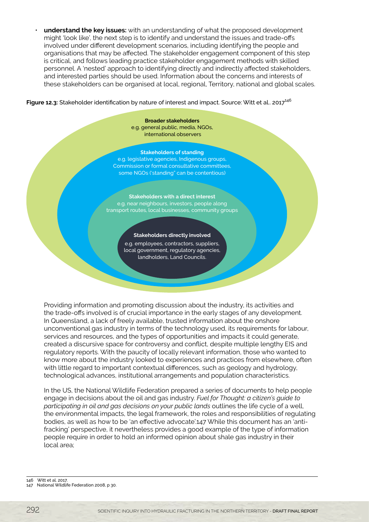• **understand the key issues:** with an understanding of what the proposed development might 'look like', the next step is to identify and understand the issues and trade-offs involved under different development scenarios, including identifying the people and organisations that may be affected. The stakeholder engagement component of this step is critical, and follows leading practice stakeholder engagement methods with skilled personnel. A 'nested' approach to identifying directly and indirectly affected stakeholders, and interested parties should be used. Information about the concerns and interests of these stakeholders can be organised at local, regional, Territory, national and global scales.

#### Figure 12.3: Stakeholder identification by nature of interest and impact. Source: Witt et al.. 2017<sup>146</sup>

**Broader stakeholders** e.g. general public, media, NGOs, international observers

#### **Stakeholders of standing**

e.g. legislative agencies, Indigenous groups, Commission or formal consultative committees, some NGOs ('standing" can be contentious)

**Stakeholders with a direct interest** e.g. near neighbours, investors, people along transport routes, local businesses, community groups

#### **Stakeholders directly involved**

e.g. employees, contractors, suppliers, local government, regulatory agencies, landholders, Land Councils.

Providing information and promoting discussion about the industry, its activities and the trade-offs involved is of crucial importance in the early stages of any development. In Queensland, a lack of freely available, trusted information about the onshore unconventional gas industry in terms of the technology used, its requirements for labour, services and resources, and the types of opportunities and impacts it could generate, created a discursive space for controversy and conflict, despite multiple lengthy EIS and regulatory reports. With the paucity of locally relevant information, those who wanted to know more about the industry looked to experiences and practices from elsewhere, often with little regard to important contextual differences, such as geology and hydrology, technological advances, institutional arrangements and population characteristics.

In the US, the National Wildlife Federation prepared a series of documents to help people engage in decisions about the oil and gas industry. *Fuel for Thought: a citizen's guide to*  participating in oil and gas decisions on your public lands outlines the life cycle of a well, the environmental impacts, the legal framework, the roles and responsibilities of regulating bodies, as well as how to be 'an effective advocate'.147 While this document has an 'antifracking' perspective, it nevertheless provides a good example of the type of information people require in order to hold an informed opinion about shale gas industry in their local area;

146 Witt et al. 2017.

<sup>147</sup> National Wildlife Federation 2008, p 30.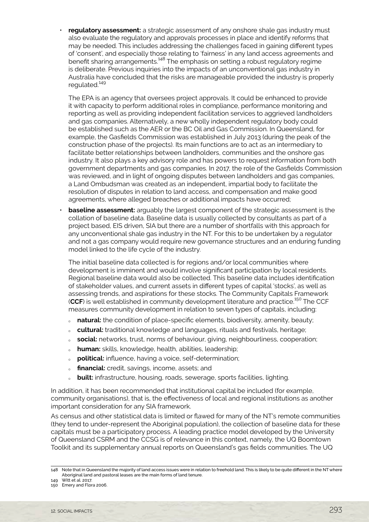• **regulatory assessment:** a strategic assessment of any onshore shale gas industry must also evaluate the regulatory and approvals processes in place and identify reforms that may be needed. This includes addressing the challenges faced in gaining different types of 'consent', and especially those relating to 'fairness' in any land access agreements and benefit sharing arrangements.<sup>148</sup> The emphasis on setting a robust regulatory regime is deliberate. Previous inquiries into the impacts of an unconventional gas industry in Australia have concluded that the risks are manageable provided the industry is properly regulated.<sup>149</sup>

The EPA is an agency that oversees project approvals. It could be enhanced to provide it with capacity to perform additional roles in compliance, performance monitoring and reporting as well as providing independent facilitation services to aggrieved landholders and gas companies. Alternatively, a new wholly independent regulatory body could be established such as the AER or the BC Oil and Gas Commission. In Queensland, for example, the Gasfields Commission was established in July 2013 (during the peak of the construction phase of the projects). Its main functions are to act as an intermediary to facilitate better relationships between landholders, communities and the onshore gas industry. It also plays a key advisory role and has powers to request information from both government departments and gas companies. In 2017, the role of the Gasfields Commission was reviewed, and in light of ongoing disputes between landholders and gas companies, a Land Ombudsman was created as an independent, impartial body to facilitate the resolution of disputes in relation to land access, and compensation and make good agreements, where alleged breaches or additional impacts have occurred;

**baseline assessment:** arguably the largest component of the strategic assessment is the collation of baseline data. Baseline data is usually collected by consultants as part of a project based, EIS driven, SIA but there are a number of shortfalls with this approach for any unconventional shale gas industry in the NT. For this to be undertaken by a regulator and not a gas company would require new governance structures and an enduring funding model linked to the life cycle of the industry.

The initial baseline data collected is for regions and/or local communities where development is imminent and would involve significant participation by local residents. Regional baseline data would also be collected. This baseline data includes identification of stakeholder values, and current assets in different types of capital 'stocks', as well as assessing trends, and aspirations for these stocks. The Community Capitals Framework (CCF) is well established in community development literature and practice.<sup>150</sup> The CCF measures community development in relation to seven types of capitals, including:

- o **natural:** the condition of place-specific elements, biodiversity, amenity, beauty;
- <sup>Ȉ</sup> **cultural:** traditional knowledge and languages, rituals and festivals, heritage;
- <sup>Ȉ</sup> **social:** networks, trust, norms of behaviour, giving, neighbourliness, cooperation;
- <sup>Ȉ</sup> **human:** skills, knowledge, health, abilities, leadership;
- <sup>Ȉ</sup> **political:** influence, having a voice, self-determination;
- <sup>Ȉ</sup> **financial:** credit, savings, income, assets; and
- <sup>Ȉ</sup> **built:** infrastructure, housing, roads, sewerage, sports facilities, lighting.

In addition, it has been recommended that institutional capital be included (for example, community organisations), that is, the effectiveness of local and regional institutions as another important consideration for any SIA framework.

As census and other statistical data is limited or flawed for many of the NT's remote communities (they tend to under-represent the Aboriginal population), the collection of baseline data for these capitals must be a participatory process. A leading practice model developed by the University of Queensland CSRM and the CCSG is of relevance in this context, namely, the UQ Boomtown Toolkit and its supplementary annual reports on Queensland's gas fields communities. The UQ

<sup>148</sup> Note that in Queensland the majority of land access issues were in relation to freehold land. This is likely to be quite different in the NT where Aboriginal land and pastoral leases are the main forms of land tenure.

<sup>149</sup> Witt et al. 2017.

<sup>150</sup> Emery and Flora 2006.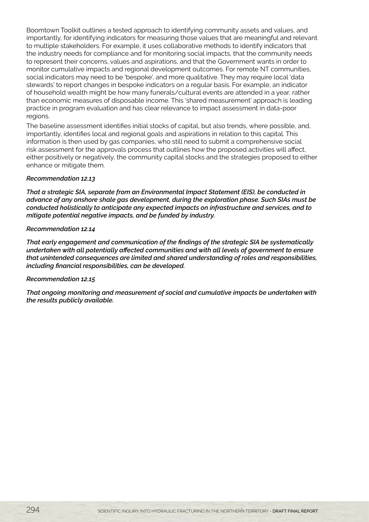Boomtown Toolkit outlines a tested approach to identifying community assets and values, and importantly, for identifying indicators for measuring those values that are meaningful and relevant to multiple stakeholders. For example, it uses collaborative methods to identify indicators that the industry needs for compliance and for monitoring social impacts, that the community needs to represent their concerns, values and aspirations, and that the Government wants in order to monitor cumulative impacts and regional development outcomes. For remote NT communities, social indicators may need to be 'bespoke', and more qualitative. They may require local 'data stewards' to report changes in bespoke indicators on a regular basis. For example, an indicator of household wealth might be how many funerals/cultural events are attended in a year, rather than economic measures of disposable income. This 'shared measurement' approach is leading practice in program evaluation and has clear relevance to impact assessment in data-poor regions.

The baseline assessment identifies initial stocks of capital, but also trends, where possible, and, importantly, identifies local and regional goals and aspirations in relation to this capital. This information is then used by gas companies, who still need to submit a comprehensive social risk assessment for the approvals process that outlines how the proposed activities will affect, either positively or negatively, the community capital stocks and the strategies proposed to either enhance or mitigate them.

#### *Recommendation 12.13*

*That a strategic SIA, separate from an Environmental Impact Statement (EIS), be conducted in advance of any onshore shale gas development, during the exploration phase. Such SIAs must be conducted holistically to anticipate any expected impacts on infrastructure and services, and to mitigate potential negative impacts, and be funded by industry.*

#### *Recommendation 12.14*

*That early engagement and communication of the findings of the strategic SIA be systematically undertaken with all potentially affected communities and with all levels of government to ensure that unintended consequences are limited and shared understanding of roles and responsibilities, including financial responsibilities, can be developed.*

#### *Recommendation 12.15*

*That ongoing monitoring and measurement of social and cumulative impacts be undertaken with the results publicly available.*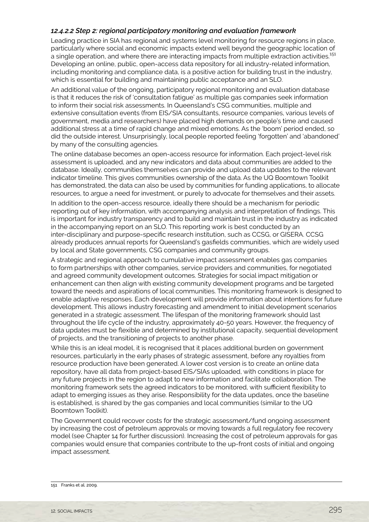#### *12.4.2.2 Step 2: regional participatory monitoring and evaluation framework*

Leading practice in SIA has regional and systems level monitoring for resource regions in place, particularly where social and economic impacts extend well beyond the geographic location of a single operation, and where there are interacting impacts from multiple extraction activities.<sup>151</sup> Developing an online, public, open-access data repository for all industry-related information, including monitoring and compliance data, is a positive action for building trust in the industry, which is essential for building and maintaining public acceptance and an SLO.

An additional value of the ongoing, participatory regional monitoring and evaluation database is that it reduces the risk of 'consultation fatigue' as multiple gas companies seek information to inform their social risk assessments. In Queensland's CSG communities, multiple and extensive consultation events (from EIS/SIA consultants, resource companies, various levels of government, media and researchers) have placed high demands on people's time and caused additional stress at a time of rapid change and mixed emotions. As the 'boom' period ended, so did the outside interest. Unsurprisingly, local people reported feeling 'forgotten' and 'abandoned' by many of the consulting agencies.

The online database becomes an open-access resource for information. Each project-level risk assessment is uploaded, and any new indicators and data about communities are added to the database. Ideally, communities themselves can provide and upload data updates to the relevant indicator timeline. This gives communities ownership of the data. As the UQ Boomtown Toolkit has demonstrated, the data can also be used by communities for funding applications, to allocate resources, to argue a need for investment, or purely to advocate for themselves and their assets.

In addition to the open-access resource, ideally there should be a mechanism for periodic reporting out of key information, with accompanying analysis and interpretation of findings. This is important for industry transparency and to build and maintain trust in the industry as indicated in the accompanying report on an SLO. This reporting work is best conducted by an inter-disciplinary and purpose-specific research institution, such as CCSG, or GISERA. CCSG already produces annual reports for Queensland's gasfields communities, which are widely used by local and State governments, CSG companies and community groups.

A strategic and regional approach to cumulative impact assessment enables gas companies to form partnerships with other companies, service providers and communities, for negotiated and agreed community development outcomes. Strategies for social impact mitigation or enhancement can then align with existing community development programs and be targeted toward the needs and aspirations of local communities. This monitoring framework is designed to enable adaptive responses. Each development will provide information about intentions for future development. This allows industry forecasting and amendment to initial development scenarios generated in a strategic assessment. The lifespan of the monitoring framework should last throughout the life cycle of the industry, approximately 40-50 years. However, the frequency of data updates must be flexible and determined by institutional capacity, sequential development of projects, and the transitioning of projects to another phase.

While this is an ideal model, it is recognised that it places additional burden on government resources, particularly in the early phases of strategic assessment, before any royalties from resource production have been generated. A lower cost version is to create an online data repository, have all data from project-based EIS/SIAs uploaded, with conditions in place for any future projects in the region to adapt to new information and facilitate collaboration. The monitoring framework sets the agreed indicators to be monitored, with sufficient flexibility to adapt to emerging issues as they arise. Responsibility for the data updates, once the baseline is established, is shared by the gas companies and local communities (similar to the UQ Boomtown Toolkit).

The Government could recover costs for the strategic assessment/fund ongoing assessment by increasing the cost of petroleum approvals or moving towards a full regulatory fee recovery model (see Chapter 14 for further discussion). Increasing the cost of petroleum approvals for gas companies would ensure that companies contribute to the up-front costs of initial and ongoing impact assessment.

<sup>151</sup> Franks et al. 2009.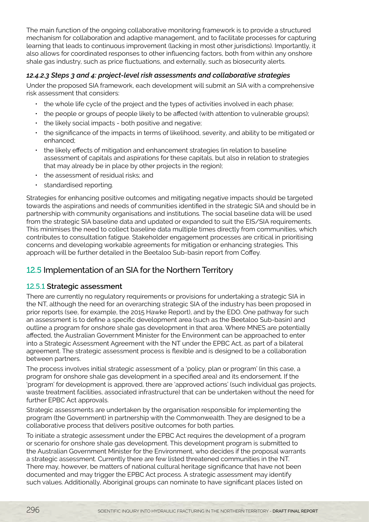<span id="page-27-0"></span>The main function of the ongoing collaborative monitoring framework is to provide a structured mechanism for collaboration and adaptive management, and to facilitate processes for capturing learning that leads to continuous improvement (lacking in most other jurisdictions). Importantly, it also allows for coordinated responses to other influencing factors, both from within any onshore shale gas industry, such as price fluctuations, and externally, such as biosecurity alerts.

#### *12.4.2.3 Steps 3 and 4: project-level risk assessments and collaborative strategies*

Under the proposed SIA framework, each development will submit an SIA with a comprehensive risk assessment that considers:

- the whole life cycle of the project and the types of activities involved in each phase;
- the people or groups of people likely to be affected (with attention to vulnerable groups);
- the likely social impacts both positive and negative;
- the significance of the impacts in terms of likelihood, severity, and ability to be mitigated or enhanced;
- the likely effects of mitigation and enhancement strategies (in relation to baseline assessment of capitals and aspirations for these capitals, but also in relation to strategies that may already be in place by other projects in the region);
- the assessment of residual risks; and
- standardised reporting.

Strategies for enhancing positive outcomes and mitigating negative impacts should be targeted towards the aspirations and needs of communities identified in the strategic SIA and should be in partnership with community organisations and institutions. The social baseline data will be used from the strategic SIA baseline data and updated or expanded to suit the EIS/SIA requirements. This minimises the need to collect baseline data multiple times directly from communities, which contributes to consultation fatigue. Stakeholder engagement processes are critical in prioritising concerns and developing workable agreements for mitigation or enhancing strategies. This approach will be further detailed in the Beetaloo Sub-basin report from Coffey.

#### 12.5 Implementation of an SIA for the Northern Territory

#### 12.5.1 **Strategic assessment**

There are currently no regulatory requirements or provisions for undertaking a strategic SIA in the NT, although the need for an overarching strategic SIA of the industry has been proposed in prior reports (see, for example, the 2015 Hawke Report), and by the EDO. One pathway for such an assessment is to define a specific development area (such as the Beetaloo Sub-basin) and outline a program for onshore shale gas development in that area. Where MNES are potentially affected, the Australian Government Minister for the Environment can be approached to enter into a Strategic Assessment Agreement with the NT under the EPBC Act, as part of a bilateral agreement. The strategic assessment process is flexible and is designed to be a collaboration between partners.

The process involves initial strategic assessment of a 'policy, plan or program' (in this case, a program for onshore shale gas development in a specified area) and its endorsement. If the 'program' for development is approved, there are 'approved actions' (such individual gas projects, waste treatment facilities, associated infrastructure) that can be undertaken without the need for further EPBC Act approvals.

Strategic assessments are undertaken by the organisation responsible for implementing the program (the Government) in partnership with the Commonwealth. They are designed to be a collaborative process that delivers positive outcomes for both parties.

To initiate a strategic assessment under the EPBC Act requires the development of a program or scenario for onshore shale gas development. This development program is submitted to the Australian Government Minister for the Environment, who decides if the proposal warrants a strategic assessment. Currently there are few listed threatened communities in the NT. There may, however, be matters of national cultural heritage significance that have not been documented and may trigger the EPBC Act process. A strategic assessment may identify such values. Additionally, Aboriginal groups can nominate to have significant places listed on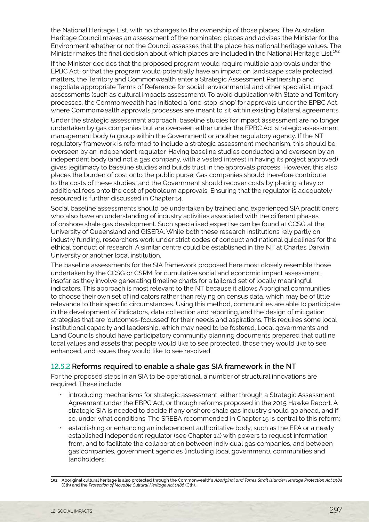the National Heritage List, with no changes to the ownership of those places. The Australian Heritage Council makes an assessment of the nominated places and advises the Minister for the Environment whether or not the Council assesses that the place has national heritage values. The Minister makes the final decision about which places are included in the National Heritage List.<sup>152</sup>

If the Minister decides that the proposed program would require multiple approvals under the EPBC Act, or that the program would potentially have an impact on landscape scale protected matters, the Territory and Commonwealth enter a Strategic Assessment Partnership and negotiate appropriate Terms of Reference for social, environmental and other specialist impact assessments (such as cultural impacts assessment). To avoid duplication with State and Territory processes, the Commonwealth has initiated a 'one-stop-shop' for approvals under the EPBC Act, where Commonwealth approvals processes are meant to sit within existing bilateral agreements.

Under the strategic assessment approach, baseline studies for impact assessment are no longer undertaken by gas companies but are overseen either under the EPBC Act strategic assessment management body (a group within the Government) or another regulatory agency. If the NT regulatory framework is reformed to include a strategic assessment mechanism, this should be overseen by an independent regulator. Having baseline studies conducted and overseen by an independent body (and not a gas company, with a vested interest in having its project approved) gives legitimacy to baseline studies and builds trust in the approvals process. However, this also places the burden of cost onto the public purse. Gas companies should therefore contribute to the costs of these studies, and the Government should recover costs by placing a levy or additional fees onto the cost of petroleum approvals. Ensuring that the regulator is adequately resourced is further discussed in Chapter 14.

Social baseline assessments should be undertaken by trained and experienced SIA practitioners who also have an understanding of industry activities associated with the different phases of onshore shale gas development. Such specialised expertise can be found at CCSG at the University of Queensland and GISERA. While both these research institutions rely partly on industry funding, researchers work under strict codes of conduct and national guidelines for the ethical conduct of research. A similar centre could be established in the NT at Charles Darwin University or another local institution.

The baseline assessments for the SIA framework proposed here most closely resemble those undertaken by the CCSG or CSRM for cumulative social and economic impact assessment, insofar as they involve generating timeline charts for a tailored set of locally meaningful indicators. This approach is most relevant to the NT because it allows Aboriginal communities to choose their own set of indicators rather than relying on census data, which may be of little relevance to their specific circumstances. Using this method, communities are able to participate in the development of indicators, data collection and reporting, and the design of mitigation strategies that are 'outcomes-focussed' for their needs and aspirations. This requires some local institutional capacity and leadership, which may need to be fostered. Local governments and Land Councils should have participatory community planning documents prepared that outline local values and assets that people would like to see protected, those they would like to see enhanced, and issues they would like to see resolved.

#### 12.5.2 **Reforms required to enable a shale gas SIA framework in the NT**

For the proposed steps in an SIA to be operational, a number of structural innovations are required. These include:

- introducing mechanisms for strategic assessment, either through a Strategic Assessment Agreement under the EBPC Act, or through reforms proposed in the 2015 Hawke Report. A strategic SIA is needed to decide if any onshore shale gas industry should go ahead, and if so, under what conditions. The SREBA recommended in Chapter 15 is central to this reform;
- establishing or enhancing an independent authoritative body, such as the EPA or a newly established independent regulator (see Chapter 14) with powers to request information from, and to facilitate the collaboration between individual gas companies, and between gas companies, government agencies (including local government), communities and landholders;

<sup>152</sup> Aboriginal cultural heritage is also protected through the Commonwealth's *Aboriginal and Torres Strait Islander Heritage Protection Act 1984* (Cth) and the *Protection of Movable Cultural Heritage Act 1986* (Cth).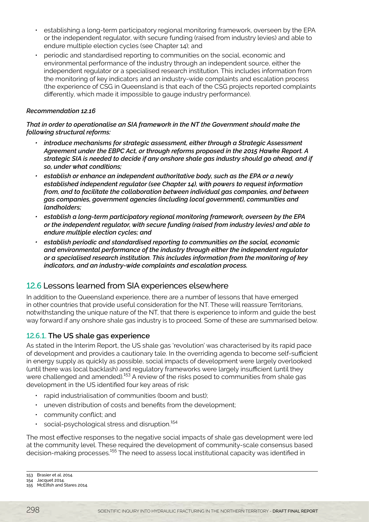- <span id="page-29-0"></span>• establishing a long-term participatory regional monitoring framework, overseen by the EPA or the independent regulator, with secure funding (raised from industry levies) and able to endure multiple election cycles (see Chapter 14); and
- periodic and standardised reporting to communities on the social, economic and environmental performance of the industry through an independent source, either the independent regulator or a specialised research institution. This includes information from the monitoring of key indicators and an industry-wide complaints and escalation process (the experience of CSG in Queensland is that each of the CSG projects reported complaints differently, which made it impossible to gauge industry performance).

#### *Recommendation 12.16*

*That in order to operationalise an SIA framework in the NT the Government should make the following structural reforms:*

- *• introduce mechanisms for strategic assessment, either through a Strategic Assessment Agreement under the EBPC Act, or through reforms proposed in the 2015 Hawke Report. A strategic SIA is needed to decide if any onshore shale gas industry should go ahead, and if so, under what conditions;*
- *• establish or enhance an independent authoritative body, such as the EPA or a newly established independent regulator (see Chapter 14), with powers to request information from, and to facilitate the collaboration between individual gas companies, and between gas companies, government agencies (including local government), communities and landholders;*
- *• establish a long-term participatory regional monitoring framework, overseen by the EPA or the independent regulator, with secure funding (raised from industry levies) and able to endure multiple election cycles; and*
- *• establish periodic and standardised reporting to communities on the social, economic and environmental performance of the industry through either the independent regulator or a specialised research institution. This includes information from the monitoring of key indicators, and an industry-wide complaints and escalation process.*

#### 12.6 Lessons learned from SIA experiences elsewhere

In addition to the Queensland experience, there are a number of lessons that have emerged in other countries that provide useful consideration for the NT. These will reassure Territorians, notwithstanding the unique nature of the NT, that there is experience to inform and guide the best way forward if any onshore shale gas industry is to proceed. Some of these are summarised below.

#### 12.6.1. **The US shale gas experience**

As stated in the Interim Report, the US shale gas 'revolution' was characterised by its rapid pace of development and provides a cautionary tale. In the overriding agenda to become self-sufficient in energy supply as quickly as possible, social impacts of development were largely overlooked (until there was local backlash) and regulatory frameworks were largely insufficient (until they were challenged and amended).<sup>153</sup> A review of the risks posed to communities from shale gas development in the US identified four key areas of risk:

- rapid industrialisation of communities (boom and bust);
- uneven distribution of costs and benefits from the development;
- community conflict; and
- $\cdot$  social-psychological stress and disruption.<sup>154</sup>

The most effective responses to the negative social impacts of shale gas development were led at the community level. These required the development of community-scale consensus based decision-making processes.<sup>155</sup> The need to assess local institutional capacity was identified in

<sup>153</sup> Brasier et al. 2014.

<sup>154</sup> Jacquet 2014.

<sup>155</sup> McElfish and Stares 2014.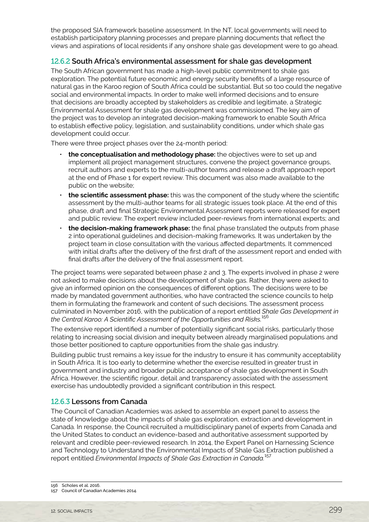the proposed SIA framework baseline assessment. In the NT, local governments will need to establish participatory planning processes and prepare planning documents that reflect the views and aspirations of local residents if any onshore shale gas development were to go ahead.

#### 12.6.2 **South Africa's environmental assessment for shale gas development**

The South African government has made a high-level public commitment to shale gas exploration. The potential future economic and energy security benefits of a large resource of natural gas in the Karoo region of South Africa could be substantial. But so too could the negative social and environmental impacts. In order to make well informed decisions and to ensure that decisions are broadly accepted by stakeholders as credible and legitimate, a Strategic Environmental Assessment for shale gas development was commissioned. The key aim of the project was to develop an integrated decision-making framework to enable South Africa to establish effective policy, legislation, and sustainability conditions, under which shale gas development could occur.

There were three project phases over the 24-month period:

- **the conceptualisation and methodology phase:** the objectives were to set up and implement all project management structures, convene the project governance groups, recruit authors and experts to the multi-author teams and release a draft approach report at the end of Phase 1 for expert review. This document was also made available to the public on the website;
- **the scientific assessment phase:** this was the component of the study where the scientific assessment by the multi-author teams for all strategic issues took place. At the end of this phase, draft and final Strategic Environmental Assessment reports were released for expert and public review. The expert review included peer-reviews from international experts; and
- **the decision-making framework phase:** the final phase translated the outputs from phase 2 into operational guidelines and decision-making frameworks. It was undertaken by the project team in close consultation with the various affected departments. It commenced with initial drafts after the delivery of the first draft of the assessment report and ended with final drafts after the delivery of the final assessment report.

The project teams were separated between phase 2 and 3. The experts involved in phase 2 were not asked to make decisions about the development of shale gas. Rather, they were asked to give an informed opinion on the consequences of different options. The decisions were to be made by mandated government authorities, who have contracted the science councils to help them in formulating the framework and content of such decisions. The assessment process culminated in November 2016, with the publication of a report entitled *Shale Gas Development in the Central Karoo: A Scientific Assessment of the Opportunities and Risks.*<sup>156</sup>

The extensive report identified a number of potentially significant social risks, particularly those relating to increasing social division and inequity between already marginalised populations and those better positioned to capture opportunities from the shale gas industry.

Building public trust remains a key issue for the industry to ensure it has community acceptability in South Africa. It is too early to determine whether the exercise resulted in greater trust in government and industry and broader public acceptance of shale gas development in South Africa. However, the scientific rigour, detail and transparency associated with the assessment exercise has undoubtedly provided a significant contribution in this respect.

#### 12.6.3 **Lessons from Canada**

The Council of Canadian Academies was asked to assemble an expert panel to assess the state of knowledge about the impacts of shale gas exploration, extraction and development in Canada. In response, the Council recruited a multidisciplinary panel of experts from Canada and the United States to conduct an evidence-based and authoritative assessment supported by relevant and credible peer-reviewed research. In 2014, the Expert Panel on Harnessing Science and Technology to Understand the Environmental Impacts of Shale Gas Extraction published a report entitled *Environmental Impacts of Shale Gas Extraction in Canada.*<sup>157</sup>

<sup>157</sup> Council of Canadian Academies 2014.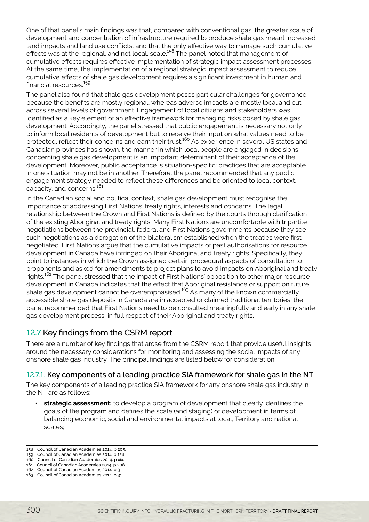<span id="page-31-0"></span>One of that panel's main findings was that, compared with conventional gas, the greater scale of development and concentration of infrastructure required to produce shale gas meant increased land impacts and land use conflicts, and that the only effective way to manage such cumulative effects was at the regional, and not local, scale.<sup>158</sup> The panel noted that management of cumulative effects requires effective implementation of strategic impact assessment processes. At the same time, the implementation of a regional strategic impact assessment to reduce cumulative effects of shale gas development requires a significant investment in human and financial resources.<sup>159</sup>

The panel also found that shale gas development poses particular challenges for governance because the benefits are mostly regional, whereas adverse impacts are mostly local and cut across several levels of government. Engagement of local citizens and stakeholders was identified as a key element of an effective framework for managing risks posed by shale gas development. Accordingly, the panel stressed that public engagement is necessary not only to inform local residents of development but to receive their input on what values need to be protected, reflect their concerns and earn their trust.<sup>160</sup> As experience in several US states and Canadian provinces has shown, the manner in which local people are engaged in decisions concerning shale gas development is an important determinant of their acceptance of the development. Moreover, public acceptance is situation-specific: practices that are acceptable in one situation may not be in another. Therefore, the panel recommended that any public engagement strategy needed to reflect these differences and be oriented to local context, capacity, and concerns.<sup>161</sup>

In the Canadian social and political context, shale gas development must recognise the importance of addressing First Nations' treaty rights, interests and concerns. The legal relationship between the Crown and First Nations is defined by the courts through clarification of the existing Aboriginal and treaty rights. Many First Nations are uncomfortable with tripartite negotiations between the provincial, federal and First Nations governments because they see such negotiations as a derogation of the bilateralism established when the treaties were first negotiated. First Nations argue that the cumulative impacts of past authorisations for resource development in Canada have infringed on their Aboriginal and treaty rights. Specifically, they point to instances in which the Crown assigned certain procedural aspects of consultation to proponents and asked for amendments to project plans to avoid impacts on Aboriginal and treaty rights.<sup>162</sup> The panel stressed that the impact of First Nations' opposition to other major resource development in Canada indicates that the effect that Aboriginal resistance or support on future shale gas development cannot be overemphasised.<sup>163</sup> As many of the known commercially accessible shale gas deposits in Canada are in accepted or claimed traditional territories, the panel recommended that First Nations need to be consulted meaningfully and early in any shale gas development process, in full respect of their Aboriginal and treaty rights.

#### 12.7 Key findings from the CSRM report

There are a number of key findings that arose from the CSRM report that provide useful insights around the necessary considerations for monitoring and assessing the social impacts of any onshore shale gas industry. The principal findings are listed below for consideration.

#### 12.7.1. **Key components of a leading practice SIA framework for shale gas in the NT**

The key components of a leading practice SIA framework for any onshore shale gas industry in the NT are as follows:

- **strategic assessment:** to develop a program of development that clearly identifies the goals of the program and defines the scale (and staging) of development in terms of balancing economic, social and environmental impacts at local, Territory and national scales;
- 158 Council of Canadian Academies 2014, p 205.
- 159 Council of Canadian Academies 2014, p 128 160 Council of Canadian Academies 2014, p xix.
- 161 Council of Canadian Academies 2014, p 208.
- 162 Council of Canadian Academies 2014, p 31
- 163 Council of Canadian Academies 2014, p 31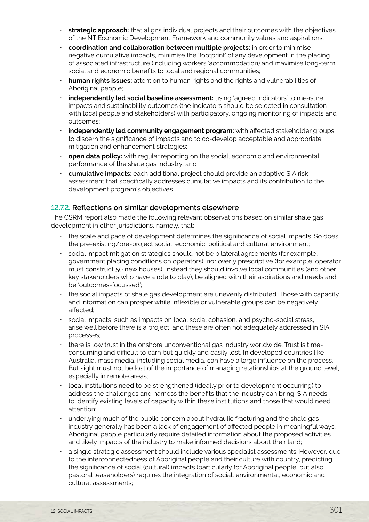- **strategic approach:** that aligns individual projects and their outcomes with the objectives of the NT Economic Development Framework and community values and aspirations;
- **coordination and collaboration between multiple projects:** in order to minimise negative cumulative impacts, minimise the 'footprint' of any development in the placing of associated infrastructure (including workers 'accommodation) and maximise long-term social and economic benefits to local and regional communities;
- **human rights issues:** attention to human rights and the rights and vulnerabilities of Aboriginal people;
- **independently led social baseline assessment:** using 'agreed indicators' to measure impacts and sustainability outcomes (the indicators should be selected in consultation with local people and stakeholders) with participatory, ongoing monitoring of impacts and outcomes;
- **independently led community engagement program:** with affected stakeholder groups to discern the significance of impacts and to co-develop acceptable and appropriate mitigation and enhancement strategies;
- **open data policy:** with regular reporting on the social, economic and environmental performance of the shale gas industry; and
- **cumulative impacts:** each additional project should provide an adaptive SIA risk assessment that specifically addresses cumulative impacts and its contribution to the development program's objectives.

#### 12.7.2. **Reflections on similar developments elsewhere**

The CSRM report also made the following relevant observations based on similar shale gas development in other jurisdictions, namely, that:

- the scale and pace of development determines the significance of social impacts. So does the pre-existing/pre-project social, economic, political and cultural environment;
- social impact mitigation strategies should not be bilateral agreements (for example, government placing conditions on operators), nor overly prescriptive (for example, operator must construct 50 new houses). Instead they should involve local communities (and other key stakeholders who have a role to play), be aligned with their aspirations and needs and be 'outcomes-focussed';
- the social impacts of shale gas development are unevenly distributed. Those with capacity and information can prosper while inflexible or vulnerable groups can be negatively affected;
- social impacts, such as impacts on local social cohesion, and psycho-social stress, arise well before there is a project, and these are often not adequately addressed in SIA processes;
- there is low trust in the onshore unconventional gas industry worldwide. Trust is timeconsuming and difficult to earn but quickly and easily lost. In developed countries like Australia, mass media, including social media, can have a large influence on the process. But sight must not be lost of the importance of managing relationships at the ground level, especially in remote areas;
- local institutions need to be strengthened (ideally prior to development occurring) to address the challenges and harness the benefits that the industry can bring. SIA needs to identify existing levels of capacity within these institutions and those that would need attention;
- underlying much of the public concern about hydraulic fracturing and the shale gas industry generally has been a lack of engagement of affected people in meaningful ways. Aboriginal people particularly require detailed information about the proposed activities and likely impacts of the industry to make informed decisions about their land;
- a single strategic assessment should include various specialist assessments. However, due to the interconnectedness of Aboriginal people and their culture with country, predicting the significance of social (cultural) impacts (particularly for Aboriginal people, but also pastoral leaseholders) requires the integration of social, environmental, economic and cultural assessments;